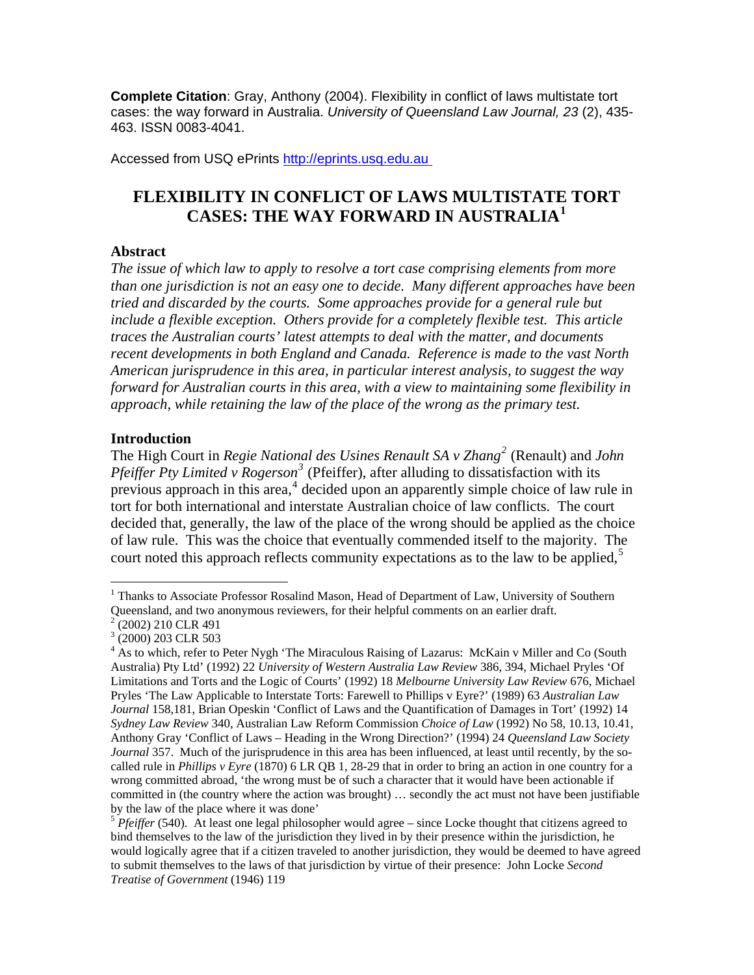**Complete Citation**: Gray, Anthony (2004). Flexibility in conflict of laws multistate tort cases: the way forward in Australia. *University of Queensland Law Journal, 23* (2), 435- 463. ISSN 0083-4041.

Accessed from USQ ePrints http://eprints.usq.edu.au

# **FLEXIBILITY IN CONFLICT OF LAWS MULTISTATE TORT CASES: THE WAY FORWARD IN AUSTRALIA[1](#page-0-0)**

# **Abstract**

*The issue of which law to apply to resolve a tort case comprising elements from more than one jurisdiction is not an easy one to decide. Many different approaches have been tried and discarded by the courts. Some approaches provide for a general rule but include a flexible exception. Others provide for a completely flexible test. This article traces the Australian courts' latest attempts to deal with the matter, and documents recent developments in both England and Canada. Reference is made to the vast North American jurisprudence in this area, in particular interest analysis, to suggest the way forward for Australian courts in this area, with a view to maintaining some flexibility in approach, while retaining the law of the place of the wrong as the primary test.* 

# **Introduction**

The High Court in *Regie National des Usines Renault SA v Zhang[2](#page-0-1)* (Renault) and *John*  Pfeiffer Pty Limited v Rogerson<sup>[3](#page-0-2)</sup> (Pfeiffer), after alluding to dissatisfaction with its previous approach in this area, $4$  decided upon an apparently simple choice of law rule in tort for both international and interstate Australian choice of law conflicts. The court decided that, generally, the law of the place of the wrong should be applied as the choice of law rule. This was the choice that eventually commended itself to the majority. The court noted this approach reflects community expectations as to the law to be applied,<sup>[5](#page-0-4)</sup>

<span id="page-0-0"></span><sup>1</sup> <sup>1</sup> Thanks to Associate Professor Rosalind Mason, Head of Department of Law, University of Southern Queensland, and two anonymous reviewers, for their helpful comments on an earlier draft.

<span id="page-0-1"></span><sup>2</sup> (2002) 210 CLR 491

<sup>3</sup> (2000) 203 CLR 503

<span id="page-0-3"></span><span id="page-0-2"></span><sup>&</sup>lt;sup>4</sup> As to which, refer to Peter Nygh 'The Miraculous Raising of Lazarus: McKain v Miller and Co (South Australia) Pty Ltd' (1992) 22 *University of Western Australia Law Review* 386, 394, Michael Pryles 'Of Limitations and Torts and the Logic of Courts' (1992) 18 *Melbourne University Law Review* 676, Michael Pryles 'The Law Applicable to Interstate Torts: Farewell to Phillips v Eyre?' (1989) 63 *Australian Law Journal* 158,181, Brian Opeskin 'Conflict of Laws and the Quantification of Damages in Tort' (1992) 14 *Sydney Law Review* 340, Australian Law Reform Commission *Choice of Law* (1992) No 58, 10.13, 10.41, Anthony Gray 'Conflict of Laws – Heading in the Wrong Direction?' (1994) 24 *Queensland Law Society Journal* 357. Much of the jurisprudence in this area has been influenced, at least until recently, by the socalled rule in *Phillips v Eyre* (1870) 6 LR QB 1, 28-29 that in order to bring an action in one country for a wrong committed abroad, 'the wrong must be of such a character that it would have been actionable if committed in (the country where the action was brought) … secondly the act must not have been justifiable by the law of the place where it was done'

<span id="page-0-4"></span><sup>&</sup>lt;sup>5</sup> *Pfeiffer* (540). At least one legal philosopher would agree – since Locke thought that citizens agreed to bind themselves to the law of the jurisdiction they lived in by their presence within the jurisdiction, he would logically agree that if a citizen traveled to another jurisdiction, they would be deemed to have agreed to submit themselves to the laws of that jurisdiction by virtue of their presence: John Locke *Second Treatise of Government* (1946) 119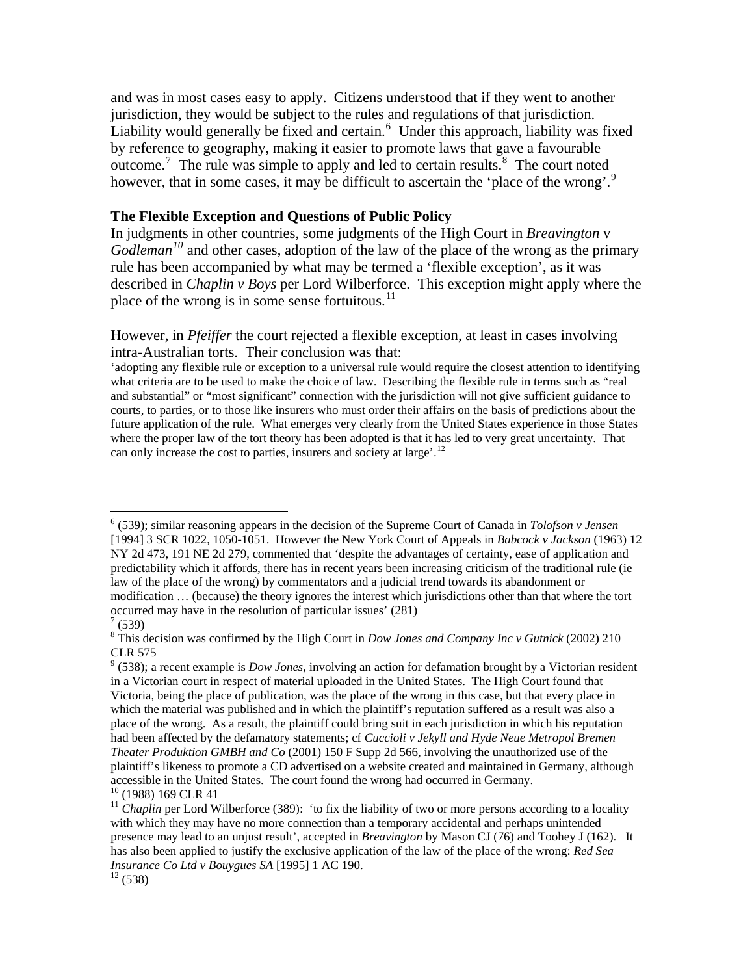and was in most cases easy to apply. Citizens understood that if they went to another jurisdiction, they would be subject to the rules and regulations of that jurisdiction. Liability would generally be fixed and certain. $<sup>6</sup>$  $<sup>6</sup>$  $<sup>6</sup>$  Under this approach, liability was fixed</sup> by reference to geography, making it easier to promote laws that gave a favourable outcome.<sup>[7](#page-1-1)</sup> The rule was simple to apply and led to certain results.<sup>[8](#page-1-2)</sup> The court noted however, that in some cases, it may be difficult to ascertain the 'place of the wrong'.<sup>[9](#page-1-3)</sup>

### **The Flexible Exception and Questions of Public Policy**

In judgments in other countries, some judgments of the High Court in *Breavington* v *Godleman*<sup>[10](#page-1-4)</sup> and other cases, adoption of the law of the place of the wrong as the primary rule has been accompanied by what may be termed a 'flexible exception', as it was described in *Chaplin v Boys* per Lord Wilberforce. This exception might apply where the place of the wrong is in some sense fortuitous. $^{11}$  $^{11}$  $^{11}$ 

However, in *Pfeiffer* the court rejected a flexible exception, at least in cases involving intra-Australian torts. Their conclusion was that:

'adopting any flexible rule or exception to a universal rule would require the closest attention to identifying what criteria are to be used to make the choice of law. Describing the flexible rule in terms such as "real and substantial" or "most significant" connection with the jurisdiction will not give sufficient guidance to courts, to parties, or to those like insurers who must order their affairs on the basis of predictions about the future application of the rule. What emerges very clearly from the United States experience in those States where the proper law of the tort theory has been adopted is that it has led to very great uncertainty. That can only increase the cost to parties, insurers and society at large'.<sup>[12](#page-1-6)</sup>

<span id="page-1-0"></span><sup>6</sup> (539); similar reasoning appears in the decision of the Supreme Court of Canada in *Tolofson v Jensen* [1994] 3 SCR 1022, 1050-1051. However the New York Court of Appeals in *Babcock v Jackson* (1963) 12 NY 2d 473, 191 NE 2d 279, commented that 'despite the advantages of certainty, ease of application and predictability which it affords, there has in recent years been increasing criticism of the traditional rule (ie law of the place of the wrong) by commentators and a judicial trend towards its abandonment or modification … (because) the theory ignores the interest which jurisdictions other than that where the tort occurred may have in the resolution of particular issues' (281)

<span id="page-1-1"></span> $(539)$ 

<span id="page-1-2"></span><sup>8</sup> This decision was confirmed by the High Court in *Dow Jones and Company Inc v Gutnick* (2002) 210 CLR 575

<span id="page-1-3"></span> $9<sup>9</sup>$  (538); a recent example is *Dow Jones*, involving an action for defamation brought by a Victorian resident in a Victorian court in respect of material uploaded in the United States. The High Court found that Victoria, being the place of publication, was the place of the wrong in this case, but that every place in which the material was published and in which the plaintiff's reputation suffered as a result was also a place of the wrong. As a result, the plaintiff could bring suit in each jurisdiction in which his reputation had been affected by the defamatory statements; cf *Cuccioli v Jekyll and Hyde Neue Metropol Bremen Theater Produktion GMBH and Co* (2001) 150 F Supp 2d 566, involving the unauthorized use of the plaintiff's likeness to promote a CD advertised on a website created and maintained in Germany, although accessible in the United States. The court found the wrong had occurred in Germany.<br><sup>10</sup> (1988) 169 CLR 41

<span id="page-1-5"></span><span id="page-1-4"></span><sup>&</sup>lt;sup>11</sup> *Chaplin* per Lord Wilberforce (389): 'to fix the liability of two or more persons according to a locality with which they may have no more connection than a temporary accidental and perhaps unintended presence may lead to an unjust result', accepted in *Breavington* by Mason CJ (76) and Toohey J (162). It has also been applied to justify the exclusive application of the law of the place of the wrong: *Red Sea Insurance Co Ltd v Bouygues SA* [1995] 1 AC 190.<br><sup>12</sup> (538)

<span id="page-1-6"></span>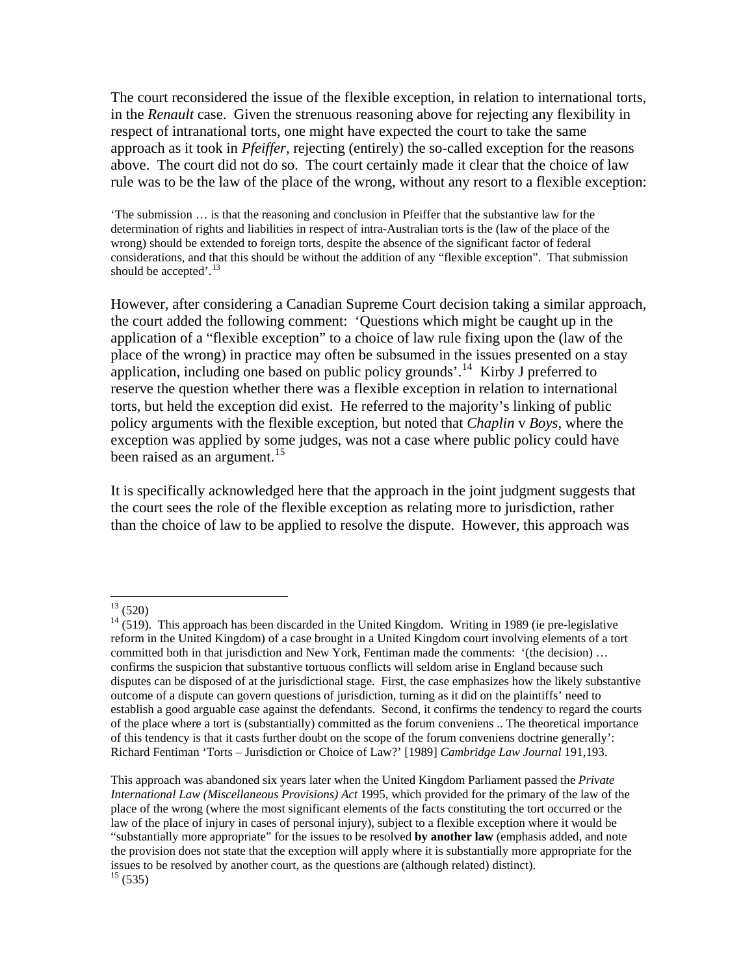The court reconsidered the issue of the flexible exception, in relation to international torts, in the *Renault* case. Given the strenuous reasoning above for rejecting any flexibility in respect of intranational torts, one might have expected the court to take the same approach as it took in *Pfeiffer*, rejecting (entirely) the so-called exception for the reasons above. The court did not do so. The court certainly made it clear that the choice of law rule was to be the law of the place of the wrong, without any resort to a flexible exception:

'The submission … is that the reasoning and conclusion in Pfeiffer that the substantive law for the determination of rights and liabilities in respect of intra-Australian torts is the (law of the place of the wrong) should be extended to foreign torts, despite the absence of the significant factor of federal considerations, and that this should be without the addition of any "flexible exception". That submission should be accepted'.<sup>[13](#page-2-0)</sup>

However, after considering a Canadian Supreme Court decision taking a similar approach, the court added the following comment: 'Questions which might be caught up in the application of a "flexible exception" to a choice of law rule fixing upon the (law of the place of the wrong) in practice may often be subsumed in the issues presented on a stay application, including one based on public policy grounds'.<sup>[14](#page-2-1)</sup> Kirby J preferred to reserve the question whether there was a flexible exception in relation to international torts, but held the exception did exist. He referred to the majority's linking of public policy arguments with the flexible exception, but noted that *Chaplin* v *Boys*, where the exception was applied by some judges, was not a case where public policy could have been raised as an argument.<sup>[15](#page-2-2)</sup>

It is specifically acknowledged here that the approach in the joint judgment suggests that the court sees the role of the flexible exception as relating more to jurisdiction, rather than the choice of law to be applied to resolve the dispute. However, this approach was

 $13(520)$ 

<span id="page-2-1"></span><span id="page-2-0"></span> $14$  (519). This approach has been discarded in the United Kingdom. Writing in 1989 (ie pre-legislative reform in the United Kingdom) of a case brought in a United Kingdom court involving elements of a tort committed both in that jurisdiction and New York, Fentiman made the comments: '(the decision) … confirms the suspicion that substantive tortuous conflicts will seldom arise in England because such disputes can be disposed of at the jurisdictional stage. First, the case emphasizes how the likely substantive outcome of a dispute can govern questions of jurisdiction, turning as it did on the plaintiffs' need to establish a good arguable case against the defendants. Second, it confirms the tendency to regard the courts of the place where a tort is (substantially) committed as the forum conveniens .. The theoretical importance of this tendency is that it casts further doubt on the scope of the forum conveniens doctrine generally': Richard Fentiman 'Torts – Jurisdiction or Choice of Law?' [1989] *Cambridge Law Journal* 191,193.

<span id="page-2-2"></span>This approach was abandoned six years later when the United Kingdom Parliament passed the *Private International Law (Miscellaneous Provisions) Act* 1995, which provided for the primary of the law of the place of the wrong (where the most significant elements of the facts constituting the tort occurred or the law of the place of injury in cases of personal injury), subject to a flexible exception where it would be "substantially more appropriate" for the issues to be resolved **by another law** (emphasis added, and note the provision does not state that the exception will apply where it is substantially more appropriate for the issues to be resolved by another court, as the questions are (although related) distinct).  $15(535)$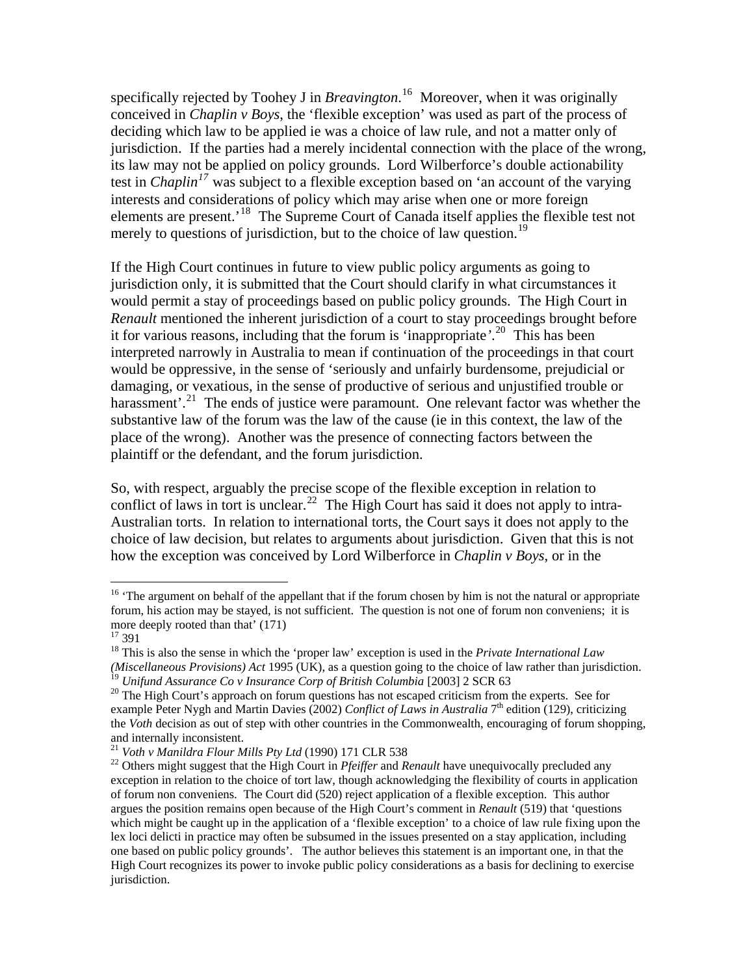specifically rejected by Toohey J in *Breavington*. [16](#page-3-0) Moreover, when it was originally conceived in *Chaplin v Boys*, the 'flexible exception' was used as part of the process of deciding which law to be applied ie was a choice of law rule, and not a matter only of jurisdiction. If the parties had a merely incidental connection with the place of the wrong, its law may not be applied on policy grounds. Lord Wilberforce's double actionability test in *Chaplin[17](#page-3-1)* was subject to a flexible exception based on 'an account of the varying interests and considerations of policy which may arise when one or more foreign elements are present.'[18](#page-3-2) The Supreme Court of Canada itself applies the flexible test not merely to questions of jurisdiction, but to the choice of law question.<sup>[19](#page-3-3)</sup>

If the High Court continues in future to view public policy arguments as going to jurisdiction only, it is submitted that the Court should clarify in what circumstances it would permit a stay of proceedings based on public policy grounds. The High Court in *Renault* mentioned the inherent jurisdiction of a court to stay proceedings brought before it for various reasons, including that the forum is 'inappropriate*'*. [20](#page-3-4) This has been interpreted narrowly in Australia to mean if continuation of the proceedings in that court would be oppressive, in the sense of 'seriously and unfairly burdensome, prejudicial or damaging, or vexatious, in the sense of productive of serious and unjustified trouble or harassment'.<sup>[21](#page-3-5)</sup> The ends of justice were paramount. One relevant factor was whether the substantive law of the forum was the law of the cause (ie in this context, the law of the place of the wrong). Another was the presence of connecting factors between the plaintiff or the defendant, and the forum jurisdiction.

So, with respect, arguably the precise scope of the flexible exception in relation to conflict of laws in tort is unclear.<sup>[22](#page-3-6)</sup> The High Court has said it does not apply to intra-Australian torts. In relation to international torts, the Court says it does not apply to the choice of law decision, but relates to arguments about jurisdiction. Given that this is not how the exception was conceived by Lord Wilberforce in *Chaplin v Boys*, or in the

<span id="page-3-0"></span><sup>&</sup>lt;sup>16</sup> 'The argument on behalf of the appellant that if the forum chosen by him is not the natural or appropriate forum, his action may be stayed, is not sufficient. The question is not one of forum non conveniens; it is more deeply rooted than that' (171)

<span id="page-3-1"></span><sup>17 391</sup> 

<span id="page-3-2"></span><sup>18</sup> This is also the sense in which the 'proper law' exception is used in the *Private International Law (Miscellaneous Provisions) Act* 1995 (UK), as a question going to the choice of law rather than jurisdiction.<br><sup>19</sup> Unifund Assurance Co v Insurance Corp of British Columbia [2003] 2 SCR 63

<span id="page-3-4"></span><span id="page-3-3"></span><sup>&</sup>lt;sup>20</sup> The High Court's approach on forum questions has not escaped criticism from the experts. See for example Peter Nygh and Martin Davies (2002) *Conflict of Laws in Australia* 7<sup>th</sup> edition (129), criticizing the *Voth* decision as out of step with other countries in the Commonwealth, encouraging of forum shopping, and internally inconsistent.<br><sup>21</sup> Voth v Manildra Flour Mills Pty Ltd (1990) 171 CLR 538

<span id="page-3-6"></span><span id="page-3-5"></span><sup>&</sup>lt;sup>22</sup> Others might suggest that the High Court in *Pfeiffer* and *Renault* have unequivocally precluded any exception in relation to the choice of tort law, though acknowledging the flexibility of courts in application of forum non conveniens. The Court did (520) reject application of a flexible exception. This author argues the position remains open because of the High Court's comment in *Renault* (519) that 'questions which might be caught up in the application of a 'flexible exception' to a choice of law rule fixing upon the lex loci delicti in practice may often be subsumed in the issues presented on a stay application, including one based on public policy grounds'. The author believes this statement is an important one, in that the High Court recognizes its power to invoke public policy considerations as a basis for declining to exercise jurisdiction.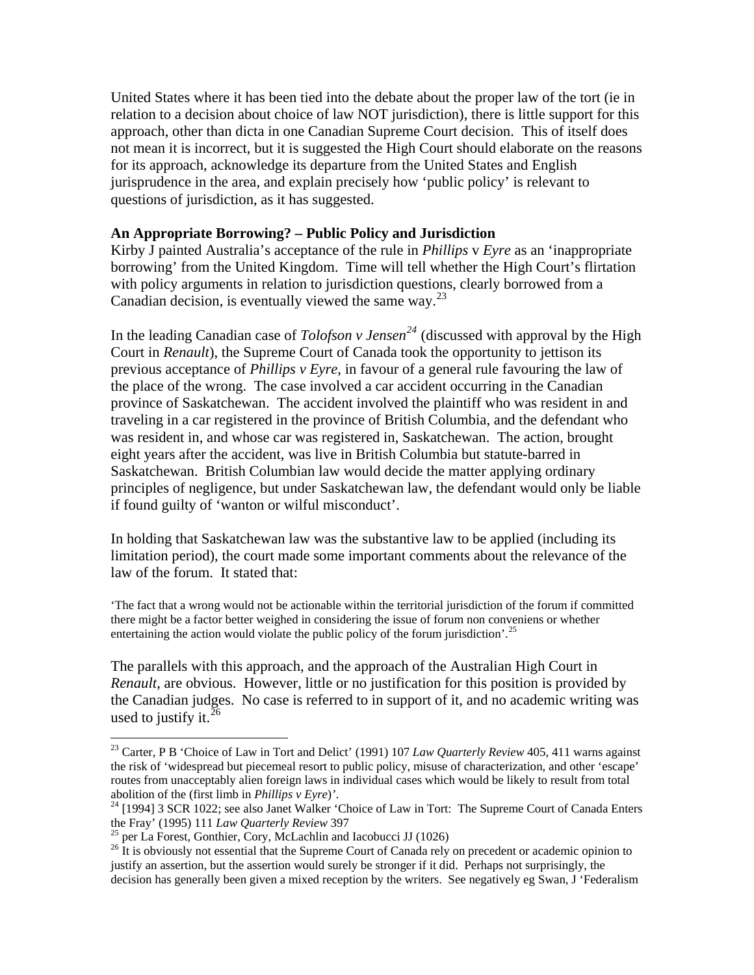United States where it has been tied into the debate about the proper law of the tort (ie in relation to a decision about choice of law NOT jurisdiction), there is little support for this approach, other than dicta in one Canadian Supreme Court decision. This of itself does not mean it is incorrect, but it is suggested the High Court should elaborate on the reasons for its approach, acknowledge its departure from the United States and English jurisprudence in the area, and explain precisely how 'public policy' is relevant to questions of jurisdiction, as it has suggested.

#### **An Appropriate Borrowing? – Public Policy and Jurisdiction**

Kirby J painted Australia's acceptance of the rule in *Phillips* v *Eyre* as an 'inappropriate borrowing' from the United Kingdom. Time will tell whether the High Court's flirtation with policy arguments in relation to jurisdiction questions, clearly borrowed from a Canadian decision, is eventually viewed the same way.<sup>[23](#page-4-0)</sup>

In the leading Canadian case of *Tolofson v Jensen[24](#page-4-1)* (discussed with approval by the High Court in *Renault*), the Supreme Court of Canada took the opportunity to jettison its previous acceptance of *Phillips v Eyre*, in favour of a general rule favouring the law of the place of the wrong. The case involved a car accident occurring in the Canadian province of Saskatchewan. The accident involved the plaintiff who was resident in and traveling in a car registered in the province of British Columbia, and the defendant who was resident in, and whose car was registered in, Saskatchewan. The action, brought eight years after the accident, was live in British Columbia but statute-barred in Saskatchewan. British Columbian law would decide the matter applying ordinary principles of negligence, but under Saskatchewan law, the defendant would only be liable if found guilty of 'wanton or wilful misconduct'.

In holding that Saskatchewan law was the substantive law to be applied (including its limitation period), the court made some important comments about the relevance of the law of the forum. It stated that:

'The fact that a wrong would not be actionable within the territorial jurisdiction of the forum if committed there might be a factor better weighed in considering the issue of forum non conveniens or whether entertaining the action would violate the public policy of the forum jurisdiction'.<sup>[25](#page-4-2)</sup>

The parallels with this approach, and the approach of the Australian High Court in *Renault*, are obvious. However, little or no justification for this position is provided by the Canadian judges. No case is referred to in support of it, and no academic writing was used to justify it.  $26$ 

<span id="page-4-0"></span><sup>&</sup>lt;sup>23</sup> Carter, P B 'Choice of Law in Tort and Delict' (1991) 107 *Law Quarterly Review* 405, 411 warns against the risk of 'widespread but piecemeal resort to public policy, misuse of characterization, and other 'escape' routes from unacceptably alien foreign laws in individual cases which would be likely to result from total abolition of the (first limb in *Phillips v Eyre*)*'*. 24 [1994] 3 SCR 1022; see also Janet Walker 'Choice of Law in Tort: The Supreme Court of Canada Enters

<span id="page-4-1"></span>the Fray' (1995) 111 Law Quarterly Review 397<br>
<sup>25</sup> per La Forest, Gonthier, Cory, McLachlin and Iacobucci JJ (1026)<br>
<sup>26</sup> It is obviously not essential that the Supreme Court of Canada rely on precedent or academic opini

<span id="page-4-3"></span><span id="page-4-2"></span>justify an assertion, but the assertion would surely be stronger if it did. Perhaps not surprisingly, the decision has generally been given a mixed reception by the writers. See negatively eg Swan, J 'Federalism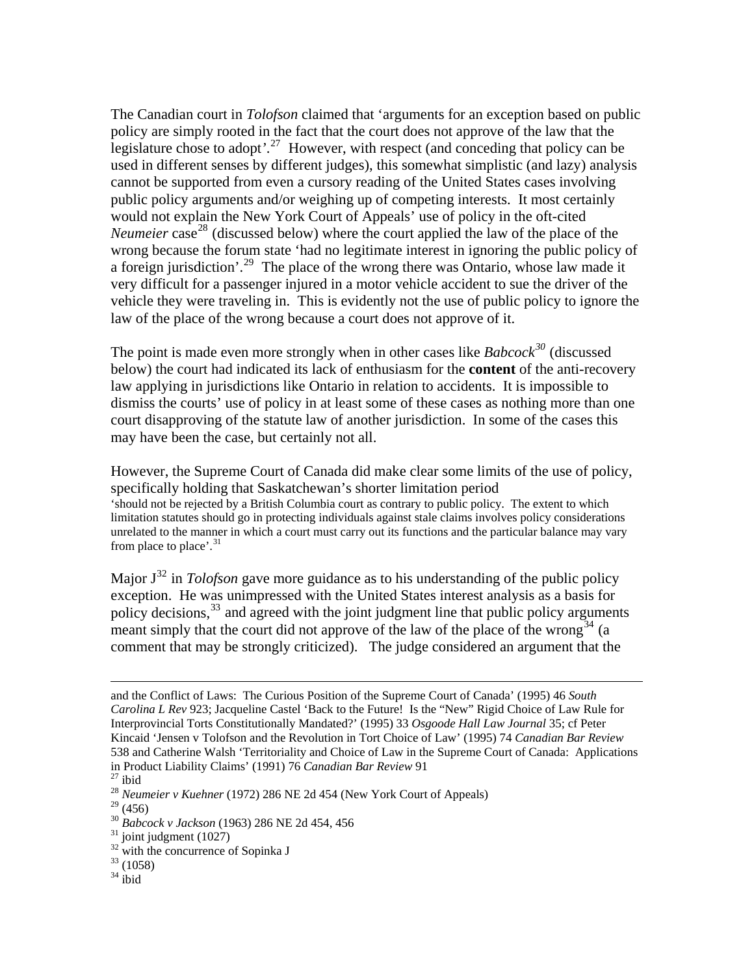The Canadian court in *Tolofson* claimed that 'arguments for an exception based on public policy are simply rooted in the fact that the court does not approve of the law that the legislature chose to adopt*'*. [27](#page-5-0) However, with respect (and conceding that policy can be used in different senses by different judges), this somewhat simplistic (and lazy) analysis cannot be supported from even a cursory reading of the United States cases involving public policy arguments and/or weighing up of competing interests. It most certainly would not explain the New York Court of Appeals' use of policy in the oft-cited *Neumeier* case<sup>[28](#page-5-1)</sup> (discussed below) where the court applied the law of the place of the wrong because the forum state 'had no legitimate interest in ignoring the public policy of a foreign jurisdiction'.[29](#page-5-2) The place of the wrong there was Ontario, whose law made it very difficult for a passenger injured in a motor vehicle accident to sue the driver of the vehicle they were traveling in. This is evidently not the use of public policy to ignore the law of the place of the wrong because a court does not approve of it.

The point is made even more strongly when in other cases like *Babcock[30](#page-5-3)* (discussed below) the court had indicated its lack of enthusiasm for the **content** of the anti-recovery law applying in jurisdictions like Ontario in relation to accidents. It is impossible to dismiss the courts' use of policy in at least some of these cases as nothing more than one court disapproving of the statute law of another jurisdiction. In some of the cases this may have been the case, but certainly not all.

However, the Supreme Court of Canada did make clear some limits of the use of policy, specifically holding that Saskatchewan's shorter limitation period 'should not be rejected by a British Columbia court as contrary to public policy. The extent to which limitation statutes should go in protecting individuals against stale claims involves policy considerations unrelated to the manner in which a court must carry out its functions and the particular balance may vary from place to place'.<sup>[31](#page-5-4)</sup>

Major  $J^{32}$  $J^{32}$  $J^{32}$  in *Tolofson* gave more guidance as to his understanding of the public policy exception. He was unimpressed with the United States interest analysis as a basis for policy decisions,  $33$  and agreed with the joint judgment line that public policy arguments meant simply that the court did not approve of the law of the place of the wrong<sup>[34](#page-5-7)</sup> (a comment that may be strongly criticized). The judge considered an argument that the

- $33(1058)$
- <span id="page-5-7"></span> $34$  ibid

and the Conflict of Laws: The Curious Position of the Supreme Court of Canada' (1995) 46 *South Carolina L Rev* 923; Jacqueline Castel 'Back to the Future! Is the "New" Rigid Choice of Law Rule for Interprovincial Torts Constitutionally Mandated?' (1995) 33 *Osgoode Hall Law Journal* 35; cf Peter Kincaid 'Jensen v Tolofson and the Revolution in Tort Choice of Law' (1995) 74 *Canadian Bar Review* 538 and Catherine Walsh 'Territoriality and Choice of Law in the Supreme Court of Canada: Applications in Product Liability Claims' (1991) 76 *Canadian Bar Review* 91<sup>27</sup> ibid

<span id="page-5-1"></span><span id="page-5-0"></span><sup>28</sup> *Neumeier v Kuehner* (1972) 286 NE 2d 454 (New York Court of Appeals)

<span id="page-5-2"></span> $29(456)$ 

<span id="page-5-3"></span><sup>30</sup> *Babcock v Jackson* (1963) 286 NE 2d 454, 456 31 joint judgment (1027)

<span id="page-5-6"></span><span id="page-5-5"></span><span id="page-5-4"></span> $32$  with the concurrence of Sopinka J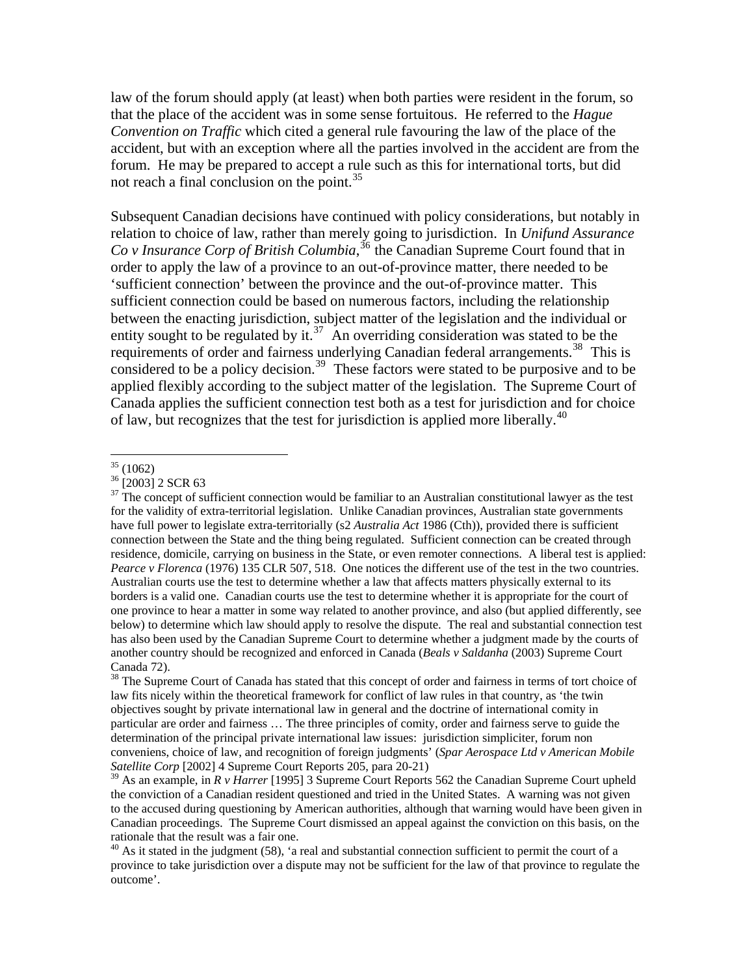law of the forum should apply (at least) when both parties were resident in the forum, so that the place of the accident was in some sense fortuitous. He referred to the *Hague Convention on Traffic* which cited a general rule favouring the law of the place of the accident, but with an exception where all the parties involved in the accident are from the forum. He may be prepared to accept a rule such as this for international torts, but did not reach a final conclusion on the point.<sup>[35](#page-6-0)</sup>

Subsequent Canadian decisions have continued with policy considerations, but notably in relation to choice of law, rather than merely going to jurisdiction. In *Unifund Assurance Co v Insurance Corp of British Columbia*, [36](#page-6-1) the Canadian Supreme Court found that in order to apply the law of a province to an out-of-province matter, there needed to be 'sufficient connection' between the province and the out-of-province matter. This sufficient connection could be based on numerous factors, including the relationship between the enacting jurisdiction, subject matter of the legislation and the individual or entity sought to be regulated by it.<sup>[37](#page-6-2)</sup> An overriding consideration was stated to be the requirements of order and fairness underlying Canadian federal arrangements.<sup>[38](#page-6-3)</sup> This is considered to be a policy decision.<sup>[39](#page-6-4)</sup> These factors were stated to be purposive and to be applied flexibly according to the subject matter of the legislation. The Supreme Court of Canada applies the sufficient connection test both as a test for jurisdiction and for choice of law, but recognizes that the test for jurisdiction is applied more liberally.<sup>[40](#page-6-5)</sup>

 $\overline{a}$  $35(1062)$ 

<span id="page-6-1"></span><span id="page-6-0"></span> $36$  [2003] 2 SCR 63

<span id="page-6-2"></span> $37$  The concept of sufficient connection would be familiar to an Australian constitutional lawyer as the test for the validity of extra-territorial legislation. Unlike Canadian provinces, Australian state governments have full power to legislate extra-territorially (s2 *Australia Act* 1986 (Cth)), provided there is sufficient connection between the State and the thing being regulated. Sufficient connection can be created through residence, domicile, carrying on business in the State, or even remoter connections. A liberal test is applied: *Pearce v Florenca* (1976) 135 CLR 507, 518. One notices the different use of the test in the two countries. Australian courts use the test to determine whether a law that affects matters physically external to its borders is a valid one. Canadian courts use the test to determine whether it is appropriate for the court of one province to hear a matter in some way related to another province, and also (but applied differently, see below) to determine which law should apply to resolve the dispute. The real and substantial connection test has also been used by the Canadian Supreme Court to determine whether a judgment made by the courts of another country should be recognized and enforced in Canada (*Beals v Saldanha* (2003) Supreme Court Canada 72).

<span id="page-6-3"></span><sup>&</sup>lt;sup>38</sup> The Supreme Court of Canada has stated that this concept of order and fairness in terms of tort choice of law fits nicely within the theoretical framework for conflict of law rules in that country, as 'the twin objectives sought by private international law in general and the doctrine of international comity in particular are order and fairness … The three principles of comity, order and fairness serve to guide the determination of the principal private international law issues: jurisdiction simpliciter, forum non conveniens, choice of law, and recognition of foreign judgments' (*Spar Aerospace Ltd v American Mobile Satellite Corp* [2002] 4 Supreme Court Reports 205, para 20-21)

<span id="page-6-4"></span><sup>39</sup> As an example, in *R v Harrer* [1995] 3 Supreme Court Reports 562 the Canadian Supreme Court upheld the conviction of a Canadian resident questioned and tried in the United States. A warning was not given to the accused during questioning by American authorities, although that warning would have been given in Canadian proceedings. The Supreme Court dismissed an appeal against the conviction on this basis, on the rationale that the result was a fair one.

<span id="page-6-5"></span> $40$  As it stated in the judgment (58), 'a real and substantial connection sufficient to permit the court of a province to take jurisdiction over a dispute may not be sufficient for the law of that province to regulate the outcome'.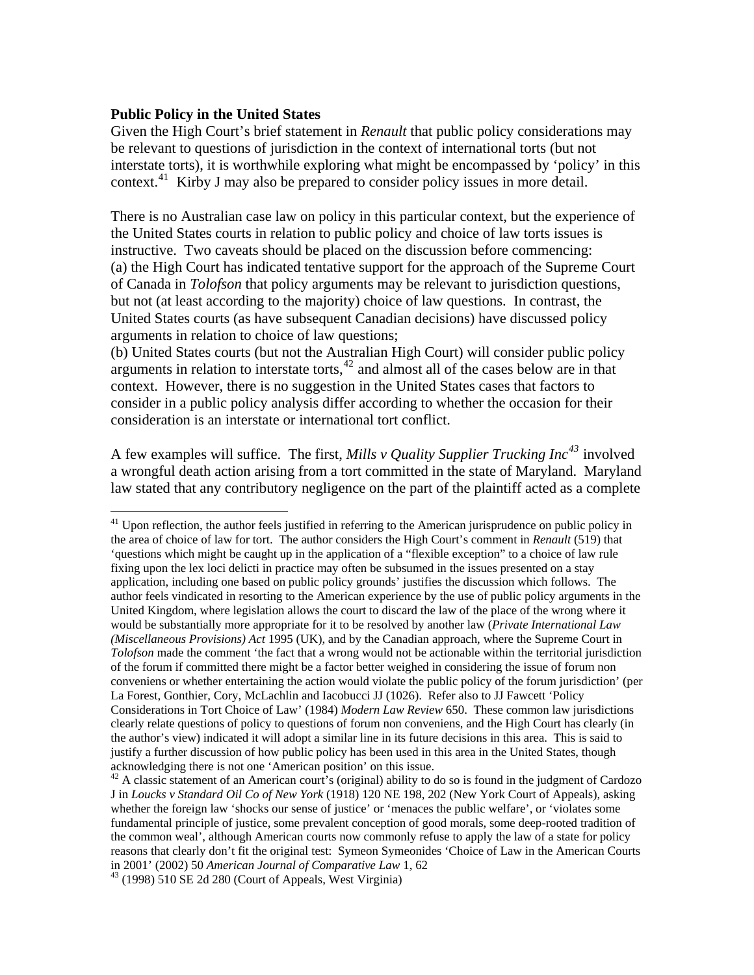# **Public Policy in the United States**

 $\overline{a}$ 

Given the High Court's brief statement in *Renault* that public policy considerations may be relevant to questions of jurisdiction in the context of international torts (but not interstate torts), it is worthwhile exploring what might be encompassed by 'policy' in this context.<sup>[41](#page-7-0)</sup> Kirby J may also be prepared to consider policy issues in more detail.

There is no Australian case law on policy in this particular context, but the experience of the United States courts in relation to public policy and choice of law torts issues is instructive. Two caveats should be placed on the discussion before commencing: (a) the High Court has indicated tentative support for the approach of the Supreme Court of Canada in *Tolofson* that policy arguments may be relevant to jurisdiction questions, but not (at least according to the majority) choice of law questions. In contrast, the United States courts (as have subsequent Canadian decisions) have discussed policy arguments in relation to choice of law questions;

(b) United States courts (but not the Australian High Court) will consider public policy arguments in relation to interstate torts,<sup>[42](#page-7-1)</sup> and almost all of the cases below are in that context. However, there is no suggestion in the United States cases that factors to consider in a public policy analysis differ according to whether the occasion for their consideration is an interstate or international tort conflict.

A few examples will suffice. The first, *Mills v Quality Supplier Trucking Inc[43](#page-7-2)* involved a wrongful death action arising from a tort committed in the state of Maryland. Maryland law stated that any contributory negligence on the part of the plaintiff acted as a complete

<span id="page-7-0"></span><sup>&</sup>lt;sup>41</sup> Upon reflection, the author feels justified in referring to the American jurisprudence on public policy in the area of choice of law for tort. The author considers the High Court's comment in *Renault* (519) that 'questions which might be caught up in the application of a "flexible exception" to a choice of law rule fixing upon the lex loci delicti in practice may often be subsumed in the issues presented on a stay application, including one based on public policy grounds' justifies the discussion which follows. The author feels vindicated in resorting to the American experience by the use of public policy arguments in the United Kingdom, where legislation allows the court to discard the law of the place of the wrong where it would be substantially more appropriate for it to be resolved by another law (*Private International Law (Miscellaneous Provisions) Act* 1995 (UK), and by the Canadian approach, where the Supreme Court in *Tolofson* made the comment 'the fact that a wrong would not be actionable within the territorial jurisdiction of the forum if committed there might be a factor better weighed in considering the issue of forum non conveniens or whether entertaining the action would violate the public policy of the forum jurisdiction' (per La Forest, Gonthier, Cory, McLachlin and Iacobucci JJ (1026). Refer also to JJ Fawcett 'Policy Considerations in Tort Choice of Law' (1984) *Modern Law Review* 650. These common law jurisdictions clearly relate questions of policy to questions of forum non conveniens, and the High Court has clearly (in the author's view) indicated it will adopt a similar line in its future decisions in this area. This is said to justify a further discussion of how public policy has been used in this area in the United States, though acknowledging there is not one 'American position' on this issue.<br><sup>42</sup> A classic statement of an American court's (original) ability to do so is found in the judgment of Cardozo

<span id="page-7-1"></span>J in *Loucks v Standard Oil Co of New York* (1918) 120 NE 198, 202 (New York Court of Appeals), asking whether the foreign law 'shocks our sense of justice' or 'menaces the public welfare', or 'violates some fundamental principle of justice, some prevalent conception of good morals, some deep-rooted tradition of the common weal', although American courts now commonly refuse to apply the law of a state for policy reasons that clearly don't fit the original test: Symeon Symeonides 'Choice of Law in the American Courts in 2001' (2002) 50 *American Journal of Comparative Law* 1, 62 43 (1998) 510 SE 2d 280 (Court of Appeals, West Virginia)

<span id="page-7-2"></span>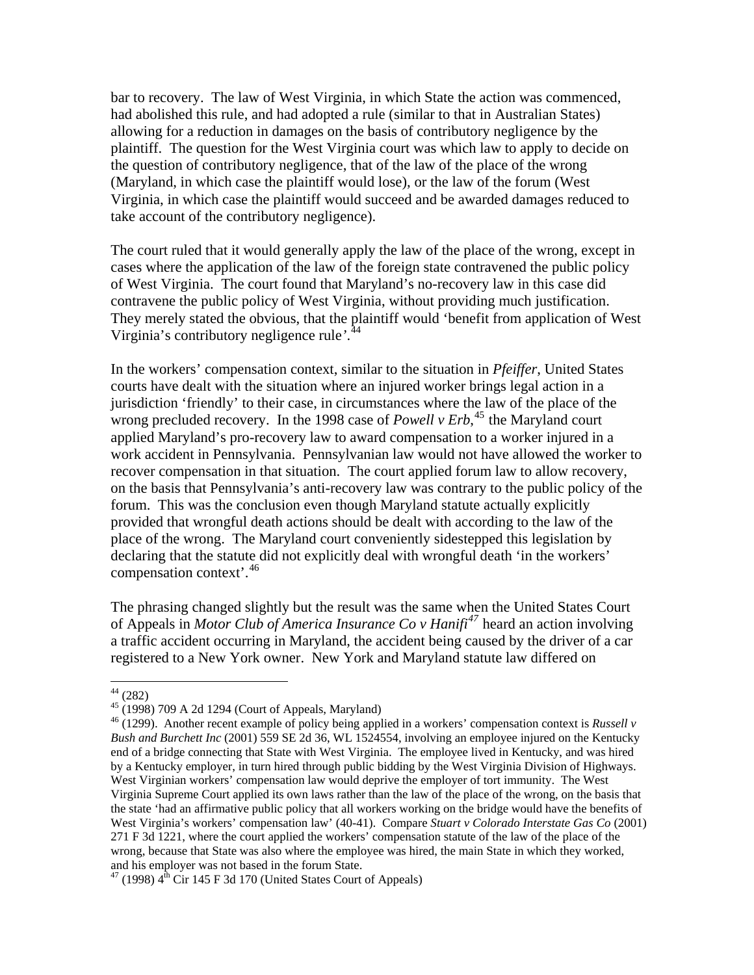bar to recovery. The law of West Virginia, in which State the action was commenced, had abolished this rule, and had adopted a rule (similar to that in Australian States) allowing for a reduction in damages on the basis of contributory negligence by the plaintiff. The question for the West Virginia court was which law to apply to decide on the question of contributory negligence, that of the law of the place of the wrong (Maryland, in which case the plaintiff would lose), or the law of the forum (West Virginia, in which case the plaintiff would succeed and be awarded damages reduced to take account of the contributory negligence).

The court ruled that it would generally apply the law of the place of the wrong, except in cases where the application of the law of the foreign state contravened the public policy of West Virginia. The court found that Maryland's no-recovery law in this case did contravene the public policy of West Virginia, without providing much justification. They merely stated the obvious, that the plaintiff would 'benefit from application of West Virginia's contributory negligence rule*'*. [44](#page-8-0)

In the workers' compensation context, similar to the situation in *Pfeiffer*, United States courts have dealt with the situation where an injured worker brings legal action in a jurisdiction 'friendly' to their case, in circumstances where the law of the place of the wrong precluded recovery. In the 1998 case of *Powell v Erb*<sup>[45](#page-8-1)</sup> the Maryland court applied Maryland's pro-recovery law to award compensation to a worker injured in a work accident in Pennsylvania. Pennsylvanian law would not have allowed the worker to recover compensation in that situation. The court applied forum law to allow recovery, on the basis that Pennsylvania's anti-recovery law was contrary to the public policy of the forum. This was the conclusion even though Maryland statute actually explicitly provided that wrongful death actions should be dealt with according to the law of the place of the wrong. The Maryland court conveniently sidestepped this legislation by declaring that the statute did not explicitly deal with wrongful death 'in the workers' compensation context'.[46](#page-8-2)

The phrasing changed slightly but the result was the same when the United States Court of Appeals in *Motor Club of America Insurance Co v Hanifi[47](#page-8-3)* heard an action involving a traffic accident occurring in Maryland, the accident being caused by the driver of a car registered to a New York owner. New York and Maryland statute law differed on

 $44$  (282)

<span id="page-8-1"></span><span id="page-8-0"></span> $45$  (1998) 709 A 2d 1294 (Court of Appeals, Maryland)

<span id="page-8-2"></span><sup>46 (1299).</sup> Another recent example of policy being applied in a workers' compensation context is *Russell v Bush and Burchett Inc* (2001) 559 SE 2d 36, WL 1524554, involving an employee injured on the Kentucky end of a bridge connecting that State with West Virginia. The employee lived in Kentucky, and was hired by a Kentucky employer, in turn hired through public bidding by the West Virginia Division of Highways. West Virginian workers' compensation law would deprive the employer of tort immunity. The West Virginia Supreme Court applied its own laws rather than the law of the place of the wrong, on the basis that the state 'had an affirmative public policy that all workers working on the bridge would have the benefits of West Virginia's workers' compensation law' (40-41). Compare *Stuart v Colorado Interstate Gas Co* (2001) 271 F 3d 1221, where the court applied the workers' compensation statute of the law of the place of the wrong, because that State was also where the employee was hired, the main State in which they worked, and his employer was not based in the forum State.

<span id="page-8-3"></span> $47$  (1998)  $4^{\text{th}}$  Cir 145 F 3d 170 (United States Court of Appeals)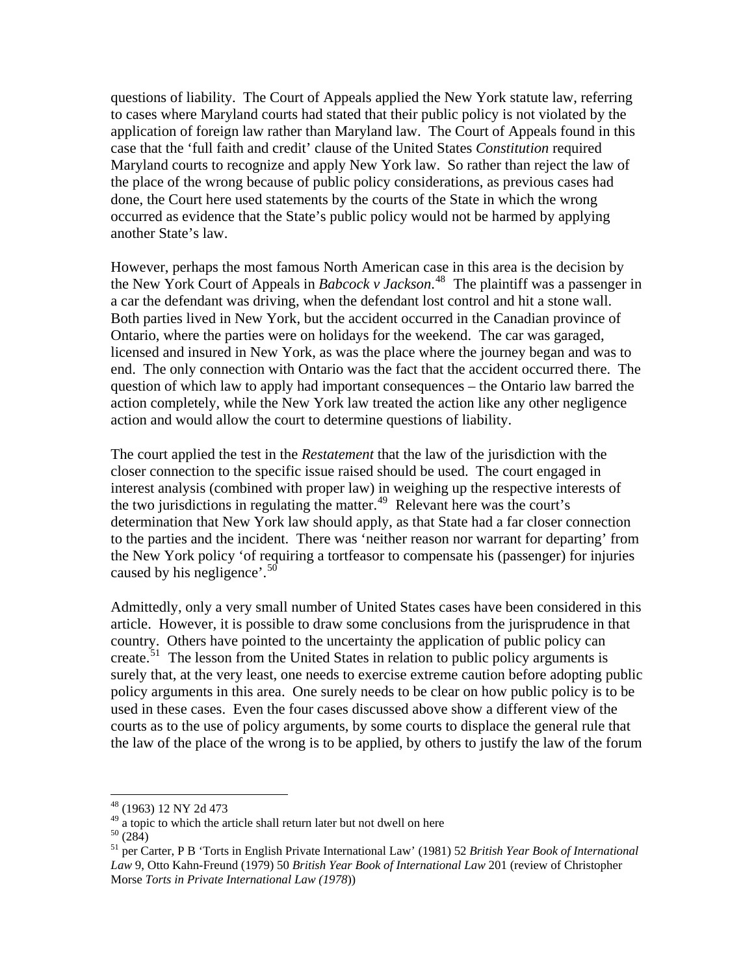questions of liability. The Court of Appeals applied the New York statute law, referring to cases where Maryland courts had stated that their public policy is not violated by the application of foreign law rather than Maryland law. The Court of Appeals found in this case that the 'full faith and credit' clause of the United States *Constitution* required Maryland courts to recognize and apply New York law. So rather than reject the law of the place of the wrong because of public policy considerations, as previous cases had done, the Court here used statements by the courts of the State in which the wrong occurred as evidence that the State's public policy would not be harmed by applying another State's law.

However, perhaps the most famous North American case in this area is the decision by the New York Court of Appeals in *Babcock v Jackson*. [48](#page-9-0) The plaintiff was a passenger in a car the defendant was driving, when the defendant lost control and hit a stone wall. Both parties lived in New York, but the accident occurred in the Canadian province of Ontario, where the parties were on holidays for the weekend. The car was garaged, licensed and insured in New York, as was the place where the journey began and was to end. The only connection with Ontario was the fact that the accident occurred there. The question of which law to apply had important consequences – the Ontario law barred the action completely, while the New York law treated the action like any other negligence action and would allow the court to determine questions of liability.

The court applied the test in the *Restatement* that the law of the jurisdiction with the closer connection to the specific issue raised should be used. The court engaged in interest analysis (combined with proper law) in weighing up the respective interests of the two jurisdictions in regulating the matter.<sup>[49](#page-9-1)</sup> Relevant here was the court's determination that New York law should apply, as that State had a far closer connection to the parties and the incident. There was 'neither reason nor warrant for departing' from the New York policy 'of requiring a tortfeasor to compensate his (passenger) for injuries caused by his negligence'.<sup>[50](#page-9-2)</sup>

Admittedly, only a very small number of United States cases have been considered in this article. However, it is possible to draw some conclusions from the jurisprudence in that country. Others have pointed to the uncertainty the application of public policy can create.<sup>[51](#page-9-3)</sup> The lesson from the United States in relation to public policy arguments is surely that, at the very least, one needs to exercise extreme caution before adopting public policy arguments in this area. One surely needs to be clear on how public policy is to be used in these cases. Even the four cases discussed above show a different view of the courts as to the use of policy arguments, by some courts to displace the general rule that the law of the place of the wrong is to be applied, by others to justify the law of the forum

<sup>48 (1963) 12</sup> NY 2d 473

<span id="page-9-1"></span><span id="page-9-0"></span> $49$  a topic to which the article shall return later but not dwell on here

<span id="page-9-2"></span> $50(284)$ 

<span id="page-9-3"></span><sup>51</sup> per Carter, P B 'Torts in English Private International Law' (1981) 52 *British Year Book of International Law* 9, Otto Kahn-Freund (1979) 50 *British Year Book of International Law* 201 (review of Christopher Morse *Torts in Private International Law (1978*))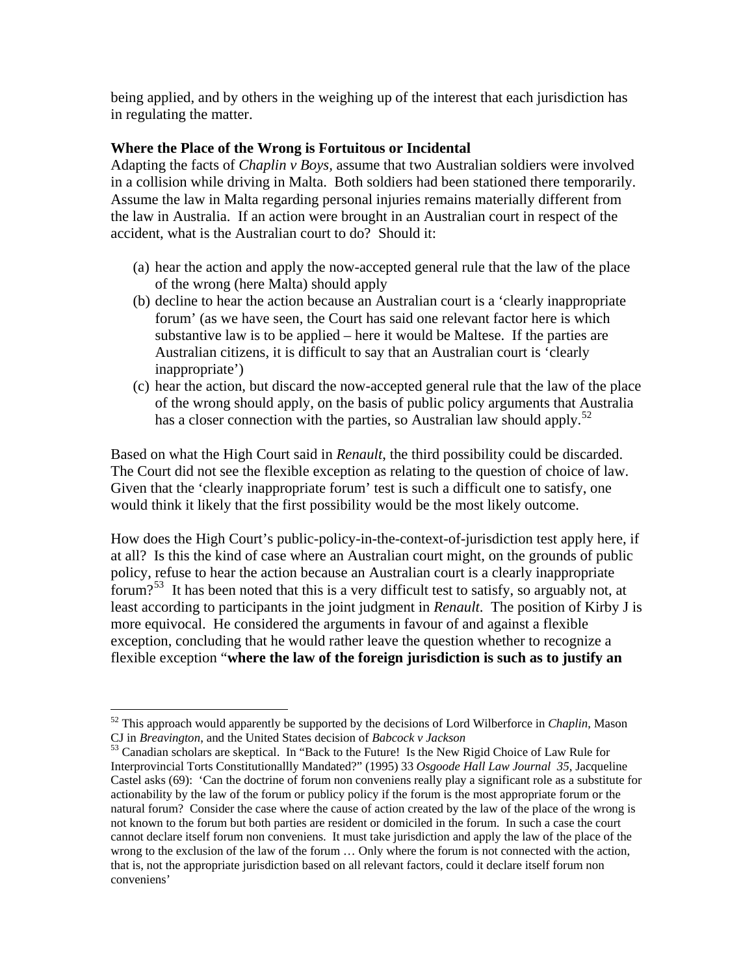being applied, and by others in the weighing up of the interest that each jurisdiction has in regulating the matter.

# **Where the Place of the Wrong is Fortuitous or Incidental**

Adapting the facts of *Chaplin v Boys,* assume that two Australian soldiers were involved in a collision while driving in Malta. Both soldiers had been stationed there temporarily. Assume the law in Malta regarding personal injuries remains materially different from the law in Australia. If an action were brought in an Australian court in respect of the accident, what is the Australian court to do? Should it:

- (a) hear the action and apply the now-accepted general rule that the law of the place of the wrong (here Malta) should apply
- (b) decline to hear the action because an Australian court is a 'clearly inappropriate forum' (as we have seen, the Court has said one relevant factor here is which substantive law is to be applied – here it would be Maltese. If the parties are Australian citizens, it is difficult to say that an Australian court is 'clearly inappropriate')
- (c) hear the action, but discard the now-accepted general rule that the law of the place of the wrong should apply, on the basis of public policy arguments that Australia has a closer connection with the parties, so Australian law should apply.<sup>[52](#page-10-0)</sup>

Based on what the High Court said in *Renault*, the third possibility could be discarded. The Court did not see the flexible exception as relating to the question of choice of law. Given that the 'clearly inappropriate forum' test is such a difficult one to satisfy, one would think it likely that the first possibility would be the most likely outcome.

How does the High Court's public-policy-in-the-context-of-jurisdiction test apply here, if at all? Is this the kind of case where an Australian court might, on the grounds of public policy, refuse to hear the action because an Australian court is a clearly inappropriate forum?<sup>[53](#page-10-1)</sup> It has been noted that this is a very difficult test to satisfy, so arguably not, at least according to participants in the joint judgment in *Renault*. The position of Kirby J is more equivocal. He considered the arguments in favour of and against a flexible exception, concluding that he would rather leave the question whether to recognize a flexible exception "**where the law of the foreign jurisdiction is such as to justify an** 

<span id="page-10-0"></span> $52$  This approach would apparently be supported by the decisions of Lord Wilberforce in *Chaplin*, Mason CJ in *Breavington*, and the United States decision of *Babcock v Jackson* 

<span id="page-10-1"></span><sup>&</sup>lt;sup>53</sup> Canadian scholars are skeptical. In "Back to the Future! Is the New Rigid Choice of Law Rule for Interprovincial Torts Constitutionallly Mandated?" (1995) 33 *Osgoode Hall Law Journal 35*, Jacqueline Castel asks (69): 'Can the doctrine of forum non conveniens really play a significant role as a substitute for actionability by the law of the forum or publicy policy if the forum is the most appropriate forum or the natural forum? Consider the case where the cause of action created by the law of the place of the wrong is not known to the forum but both parties are resident or domiciled in the forum. In such a case the court cannot declare itself forum non conveniens. It must take jurisdiction and apply the law of the place of the wrong to the exclusion of the law of the forum … Only where the forum is not connected with the action, that is, not the appropriate jurisdiction based on all relevant factors, could it declare itself forum non conveniens'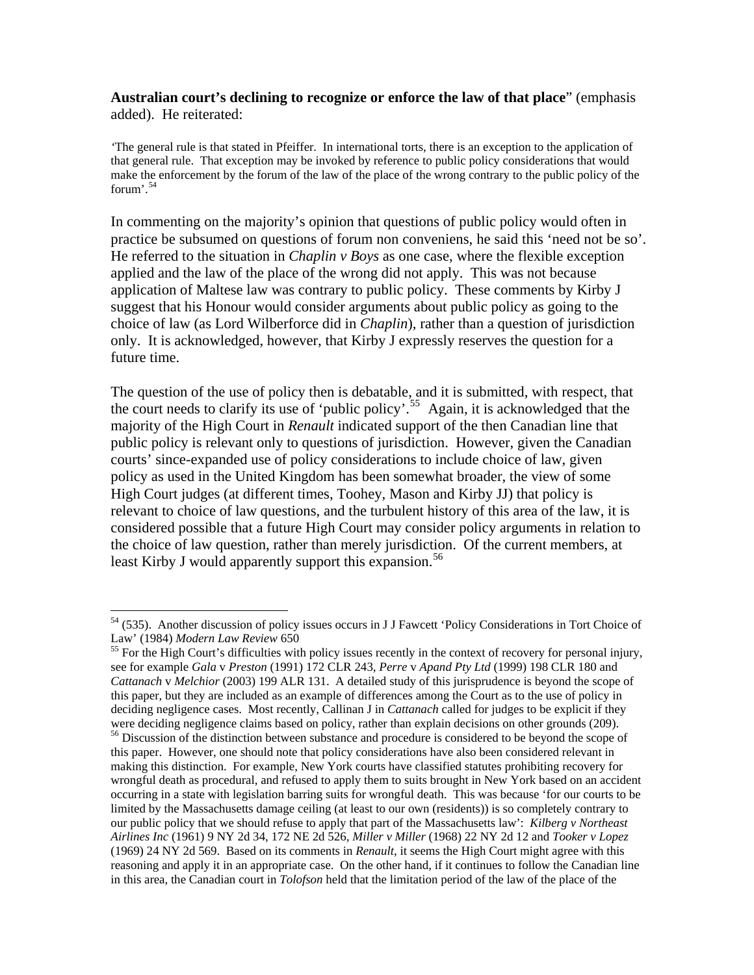### **Australian court's declining to recognize or enforce the law of that place**" (emphasis added). He reiterated:

*'*The general rule is that stated in Pfeiffer. In international torts, there is an exception to the application of that general rule. That exception may be invoked by reference to public policy considerations that would make the enforcement by the forum of the law of the place of the wrong contrary to the public policy of the forum $\cdot$ .<sup>[54](#page-11-0)</sup>

In commenting on the majority's opinion that questions of public policy would often in practice be subsumed on questions of forum non conveniens, he said this 'need not be so'. He referred to the situation in *Chaplin v Boys* as one case, where the flexible exception applied and the law of the place of the wrong did not apply. This was not because application of Maltese law was contrary to public policy. These comments by Kirby J suggest that his Honour would consider arguments about public policy as going to the choice of law (as Lord Wilberforce did in *Chaplin*), rather than a question of jurisdiction only. It is acknowledged, however, that Kirby J expressly reserves the question for a future time.

The question of the use of policy then is debatable, and it is submitted, with respect, that the court needs to clarify its use of 'public policy'.[55](#page-11-1) Again, it is acknowledged that the majority of the High Court in *Renault* indicated support of the then Canadian line that public policy is relevant only to questions of jurisdiction. However, given the Canadian courts' since-expanded use of policy considerations to include choice of law, given policy as used in the United Kingdom has been somewhat broader, the view of some High Court judges (at different times, Toohey, Mason and Kirby JJ) that policy is relevant to choice of law questions, and the turbulent history of this area of the law, it is considered possible that a future High Court may consider policy arguments in relation to the choice of law question, rather than merely jurisdiction. Of the current members, at least Kirby J would apparently support this expansion.<sup>[56](#page-11-2)</sup>

<span id="page-11-0"></span><sup>&</sup>lt;sup>54</sup> (535). Another discussion of policy issues occurs in J J Fawcett 'Policy Considerations in Tort Choice of Law' (1984) *Modern Law Review* 650<br><sup>55</sup> For the High Court's difficulties with policy issues recently in the context of recovery for personal injury,

<span id="page-11-1"></span>see for example *Gala* v *Preston* (1991) 172 CLR 243, *Perre* v *Apand Pty Ltd* (1999) 198 CLR 180 and *Cattanach* v *Melchior* (2003) 199 ALR 131. A detailed study of this jurisprudence is beyond the scope of this paper, but they are included as an example of differences among the Court as to the use of policy in deciding negligence cases. Most recently, Callinan J in *Cattanach* called for judges to be explicit if they were deciding negligence claims based on policy, rather than explain decisions on other grounds (209).

<span id="page-11-2"></span><sup>56</sup> Discussion of the distinction between substance and procedure is considered to be beyond the scope of this paper. However, one should note that policy considerations have also been considered relevant in making this distinction. For example, New York courts have classified statutes prohibiting recovery for wrongful death as procedural, and refused to apply them to suits brought in New York based on an accident occurring in a state with legislation barring suits for wrongful death. This was because 'for our courts to be limited by the Massachusetts damage ceiling (at least to our own (residents)) is so completely contrary to our public policy that we should refuse to apply that part of the Massachusetts law': *Kilberg v Northeast Airlines Inc* (1961) 9 NY 2d 34, 172 NE 2d 526, *Miller v Miller* (1968) 22 NY 2d 12 and *Tooker v Lopez* (1969) 24 NY 2d 569. Based on its comments in *Renault*, it seems the High Court might agree with this reasoning and apply it in an appropriate case. On the other hand, if it continues to follow the Canadian line in this area, the Canadian court in *Tolofson* held that the limitation period of the law of the place of the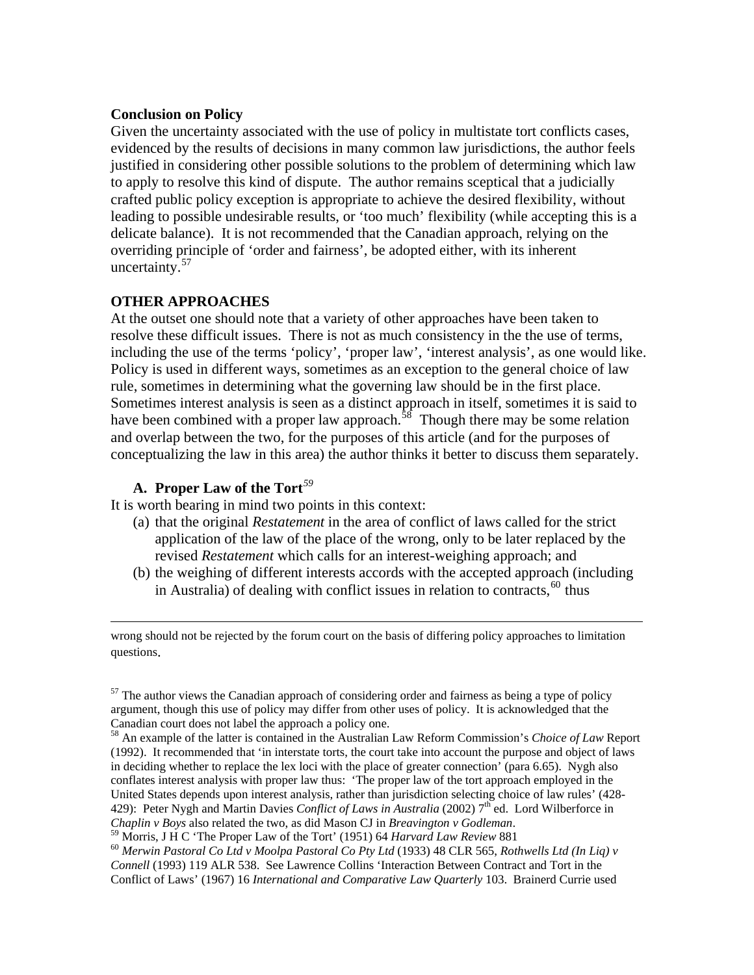# **Conclusion on Policy**

Given the uncertainty associated with the use of policy in multistate tort conflicts cases, evidenced by the results of decisions in many common law jurisdictions, the author feels justified in considering other possible solutions to the problem of determining which law to apply to resolve this kind of dispute. The author remains sceptical that a judicially crafted public policy exception is appropriate to achieve the desired flexibility, without leading to possible undesirable results, or 'too much' flexibility (while accepting this is a delicate balance). It is not recommended that the Canadian approach, relying on the overriding principle of 'order and fairness', be adopted either, with its inherent uncertainty.<sup>[57](#page-12-0)</sup>

# **OTHER APPROACHES**

At the outset one should note that a variety of other approaches have been taken to resolve these difficult issues. There is not as much consistency in the the use of terms, including the use of the terms 'policy', 'proper law', 'interest analysis', as one would like. Policy is used in different ways, sometimes as an exception to the general choice of law rule, sometimes in determining what the governing law should be in the first place. Sometimes interest analysis is seen as a distinct approach in itself, sometimes it is said to have been combined with a proper law approach.<sup>[58](#page-12-1)</sup> Though there may be some relation and overlap between the two, for the purposes of this article (and for the purposes of conceptualizing the law in this area) the author thinks it better to discuss them separately.

# **A. Proper Law of the Tort***[59](#page-12-2)*

It is worth bearing in mind two points in this context:

- (a) that the original *Restatement* in the area of conflict of laws called for the strict application of the law of the place of the wrong, only to be later replaced by the revised *Restatement* which calls for an interest-weighing approach; and
- (b) the weighing of different interests accords with the accepted approach (including in Australia) of dealing with conflict issues in relation to contracts,  $60$  thus

 wrong should not be rejected by the forum court on the basis of differing policy approaches to limitation questions.

<span id="page-12-0"></span> $57$  The author views the Canadian approach of considering order and fairness as being a type of policy argument, though this use of policy may differ from other uses of policy. It is acknowledged that the Canadian court does not label the approach a policy one.

<span id="page-12-1"></span><sup>58</sup> An example of the latter is contained in the Australian Law Reform Commission's *Choice of Law* Report (1992). It recommended that 'in interstate torts, the court take into account the purpose and object of laws in deciding whether to replace the lex loci with the place of greater connection' (para 6.65). Nygh also conflates interest analysis with proper law thus: 'The proper law of the tort approach employed in the United States depends upon interest analysis, rather than jurisdiction selecting choice of law rules' (428- 429): Peter Nygh and Martin Davies *Conflict of Laws in Australia* (2002) 7<sup>th</sup> ed. Lord Wilberforce in Chaplin v Boys also related the two, as did Mason CJ in Breavington v Godleman.<br><sup>59</sup> Morris, J H C 'The Proper Law of the Tort' (1951) 64 Harvard Law Review 881<br><sup>60</sup> Merwin Pastoral Co Ltd v Moolpa Pastoral Co Pty Ltd (19

<span id="page-12-3"></span><span id="page-12-2"></span>

*Connell* (1993) 119 ALR 538. See Lawrence Collins 'Interaction Between Contract and Tort in the Conflict of Laws' (1967) 16 *International and Comparative Law Quarterly* 103. Brainerd Currie used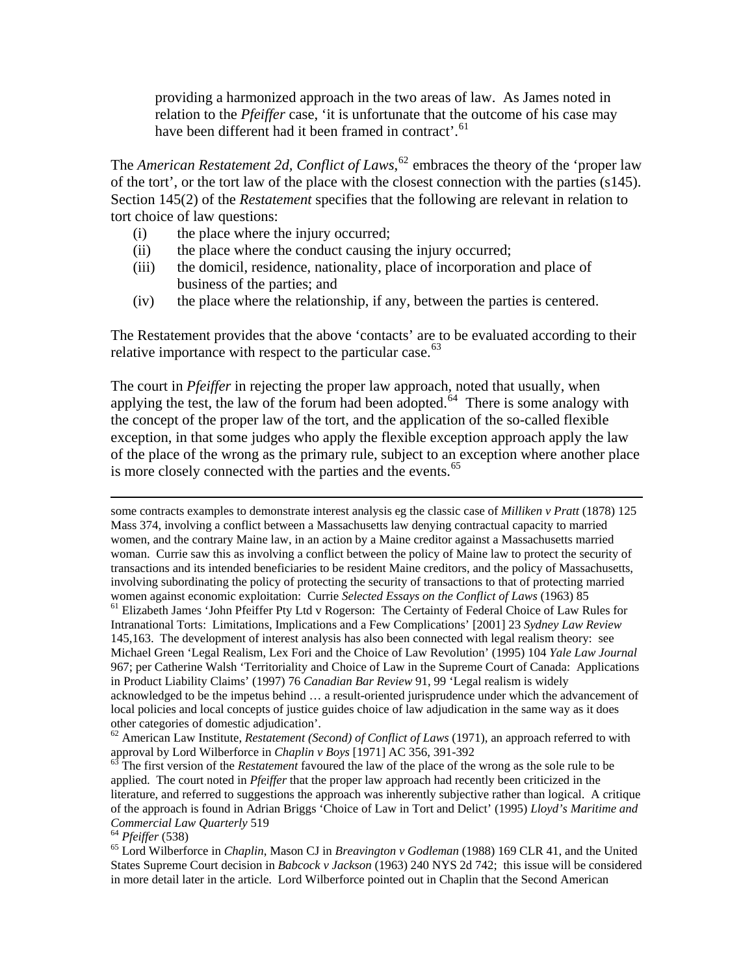providing a harmonized approach in the two areas of law. As James noted in relation to the *Pfeiffer* case, 'it is unfortunate that the outcome of his case may have been different had it been framed in contract'.<sup>[61](#page-13-0)</sup>

The *American Restatement 2d, Conflict of Laws*, [62](#page-13-1) embraces the theory of the 'proper law of the tort', or the tort law of the place with the closest connection with the parties (s145). Section 145(2) of the *Restatement* specifies that the following are relevant in relation to tort choice of law questions:

- (i) the place where the injury occurred;
- (ii) the place where the conduct causing the injury occurred;
- (iii) the domicil, residence, nationality, place of incorporation and place of business of the parties; and
- (iv) the place where the relationship, if any, between the parties is centered.

The Restatement provides that the above 'contacts' are to be evaluated according to their relative importance with respect to the particular case.  $63$ 

The court in *Pfeiffer* in rejecting the proper law approach, noted that usually, when applying the test, the law of the forum had been adopted.<sup>[64](#page-13-3)</sup> There is some analogy with the concept of the proper law of the tort, and the application of the so-called flexible exception, in that some judges who apply the flexible exception approach apply the law of the place of the wrong as the primary rule, subject to an exception where another place is more closely connected with the parties and the events.<sup>[65](#page-13-4)</sup>

<span id="page-13-0"></span>967; per Catherine Walsh 'Territoriality and Choice of Law in the Supreme Court of Canada: Applications in Product Liability Claims' (1997) 76 *Canadian Bar Review* 91, 99 'Legal realism is widely acknowledged to be the impetus behind … a result-oriented jurisprudence under which the advancement of local policies and local concepts of justice guides choice of law adjudication in the same way as it does other categories of domestic adjudication'.

<span id="page-13-1"></span><sup>62</sup> American Law Institute, *Restatement (Second) of Conflict of Laws* (1971), an approach referred to with approval by Lord Wilberforce in *Chaplin v Boys* [1971] AC 356, 391-392<br><sup>63</sup> The first version of the *Restatement* favoured the law of the place of the wrong as the sole rule to be

<span id="page-13-2"></span>applied. The court noted in *Pfeiffer* that the proper law approach had recently been criticized in the literature, and referred to suggestions the approach was inherently subjective rather than logical. A critique of the approach is found in Adrian Briggs 'Choice of Law in Tort and Delict' (1995) *Lloyd's Maritime and* 

<span id="page-13-4"></span><span id="page-13-3"></span>

*Commercial Law Quarterly* 519<br><sup>64</sup> *Pfeiffer* (538)<br><sup>65</sup> Lord Wilberforce in *Chaplin*, Mason CJ in *Breavington v Godleman* (1988) 169 CLR 41, and the United States Supreme Court decision in *Babcock v Jackson* (1963) 240 NYS 2d 742; this issue will be considered in more detail later in the article. Lord Wilberforce pointed out in Chaplin that the Second American

some contracts examples to demonstrate interest analysis eg the classic case of *Milliken v Pratt* (1878) 125 Mass 374, involving a conflict between a Massachusetts law denying contractual capacity to married women, and the contrary Maine law, in an action by a Maine creditor against a Massachusetts married woman. Currie saw this as involving a conflict between the policy of Maine law to protect the security of transactions and its intended beneficiaries to be resident Maine creditors, and the policy of Massachusetts, involving subordinating the policy of protecting the security of transactions to that of protecting married women against economic exploitation: Currie *Selected Essays on the Conflict of Laws* (1963) 85<br><sup>61</sup> Elizabeth James 'John Pfeiffer Pty Ltd v Rogerson: The Certainty of Federal Choice of Law Rules for Intranational Torts: Limitations, Implications and a Few Complications' [2001] 23 *Sydney Law Review* 145,163. The development of interest analysis has also been connected with legal realism theory: see Michael Green 'Legal Realism, Lex Fori and the Choice of Law Revolution' (1995) 104 *Yale Law Journal*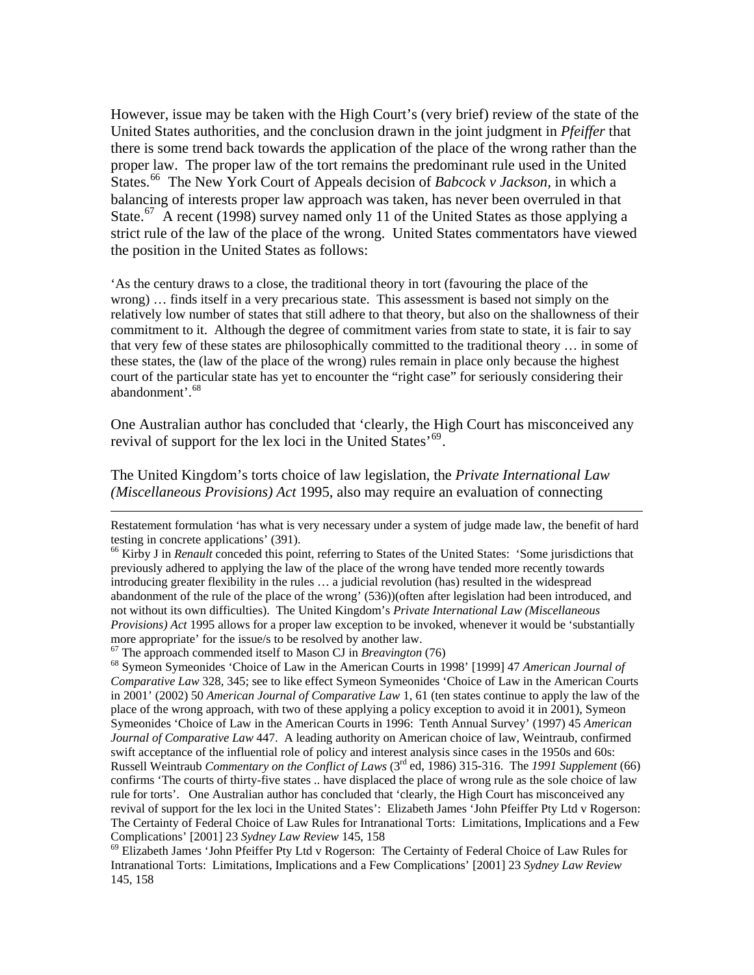However, issue may be taken with the High Court's (very brief) review of the state of the United States authorities, and the conclusion drawn in the joint judgment in *Pfeiffer* that there is some trend back towards the application of the place of the wrong rather than the proper law. The proper law of the tort remains the predominant rule used in the United States.<sup>[66](#page-14-0)</sup> The New York Court of Appeals decision of *Babcock v Jackson*, in which a balancing of interests proper law approach was taken, has never been overruled in that State.<sup>[67](#page-14-1)</sup> A recent (1998) survey named only 11 of the United States as those applying a strict rule of the law of the place of the wrong. United States commentators have viewed the position in the United States as follows:

'As the century draws to a close, the traditional theory in tort (favouring the place of the wrong) … finds itself in a very precarious state. This assessment is based not simply on the relatively low number of states that still adhere to that theory, but also on the shallowness of their commitment to it. Although the degree of commitment varies from state to state, it is fair to say that very few of these states are philosophically committed to the traditional theory … in some of these states, the (law of the place of the wrong) rules remain in place only because the highest court of the particular state has yet to encounter the "right case" for seriously considering their abandonment'.<sup>[68](#page-14-2)</sup>

One Australian author has concluded that 'clearly, the High Court has misconceived any revival of support for the lex loci in the United States<sup> $69$ </sup>.

The United Kingdom's torts choice of law legislation, the *Private International Law (Miscellaneous Provisions) Act* 1995, also may require an evaluation of connecting

Restatement formulation 'has what is very necessary under a system of judge made law, the benefit of hard testing in concrete applications' (391).

<span id="page-14-0"></span><sup>&</sup>lt;sup>66</sup> Kirby J in *Renault* conceded this point, referring to States of the United States: 'Some jurisdictions that previously adhered to applying the law of the place of the wrong have tended more recently towards introducing greater flexibility in the rules … a judicial revolution (has) resulted in the widespread abandonment of the rule of the place of the wrong' (536))(often after legislation had been introduced, and not without its own difficulties). The United Kingdom's *Private International Law (Miscellaneous Provisions) Act* 1995 allows for a proper law exception to be invoked, whenever it would be 'substantially more appropriate' for the issue/s to be resolved by another law.<br>
<sup>67</sup> The approach commended itself to Mason CJ in *Breavington* (76)

<span id="page-14-2"></span><span id="page-14-1"></span><sup>&</sup>lt;sup>68</sup> Symeon Symeonides 'Choice of Law in the American Courts in 1998' [1999] 47 *American Journal of Comparative Law* 328, 345; see to like effect Symeon Symeonides 'Choice of Law in the American Courts in 2001' (2002) 50 *American Journal of Comparative Law* 1, 61 (ten states continue to apply the law of the place of the wrong approach, with two of these applying a policy exception to avoid it in 2001), Symeon Symeonides 'Choice of Law in the American Courts in 1996: Tenth Annual Survey' (1997) 45 *American Journal of Comparative Law* 447. A leading authority on American choice of law, Weintraub, confirmed swift acceptance of the influential role of policy and interest analysis since cases in the 1950s and 60s: Russell Weintraub *Commentary on the Conflict of Laws* (3rd ed, 1986) 315-316. The *1991 Supplement* (66) confirms 'The courts of thirty-five states .. have displaced the place of wrong rule as the sole choice of law rule for torts'. One Australian author has concluded that 'clearly, the High Court has misconceived any revival of support for the lex loci in the United States': Elizabeth James 'John Pfeiffer Pty Ltd v Rogerson: The Certainty of Federal Choice of Law Rules for Intranational Torts: Limitations, Implications and a Few Complications' [2001] 23 *Sydney Law Review* 145, 158 <sup>69</sup> Elizabeth James 'John Pfeiffer Pty Ltd v Rogerson: The Certainty of Federal Choice of Law Rules for

<span id="page-14-3"></span>Intranational Torts: Limitations, Implications and a Few Complications' [2001] 23 *Sydney Law Review* 145, 158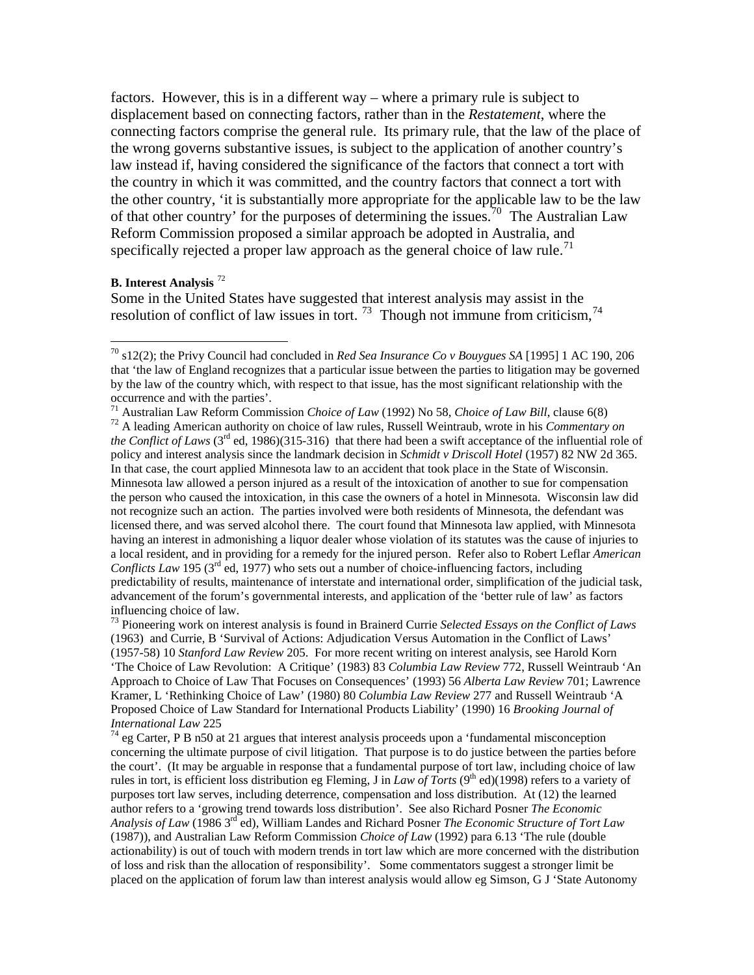factors. However, this is in a different way – where a primary rule is subject to displacement based on connecting factors, rather than in the *Restatement*, where the connecting factors comprise the general rule. Its primary rule, that the law of the place of the wrong governs substantive issues, is subject to the application of another country's law instead if, having considered the significance of the factors that connect a tort with the country in which it was committed, and the country factors that connect a tort with the other country, 'it is substantially more appropriate for the applicable law to be the law of that other country' for the purposes of determining the issues.<sup>[70](#page-15-0)</sup> The Australian Law Reform Commission proposed a similar approach be adopted in Australia, and specifically rejected a proper law approach as the general choice of law rule.<sup>[71](#page-15-1)</sup>

#### **B. Interest Analysis** [72](#page-15-2)

 $\overline{a}$ 

Some in the United States have suggested that interest analysis may assist in the resolution of conflict of law issues in tort.<sup>[73](#page-15-3)</sup> Though not immune from criticism,<sup>[74](#page-15-4)</sup>

<span id="page-15-0"></span><sup>70</sup> s12(2); the Privy Council had concluded in *Red Sea Insurance Co v Bouygues SA* [1995] 1 AC 190, 206 that 'the law of England recognizes that a particular issue between the parties to litigation may be governed by the law of the country which, with respect to that issue, has the most significant relationship with the occurrence and with the parties'.<br><sup>71</sup> Australian Law Reform Commission *Choice of Law* (1992) No 58, *Choice of Law Bill*, clause 6(8)

<span id="page-15-2"></span><span id="page-15-1"></span><sup>&</sup>lt;sup>72</sup> A leading American authority on choice of law rules, Russell Weintraub, wrote in his *Commentary on the Conflict of Laws* (3<sup>rd</sup> ed, 1986)(315-316) that there had been a swift acceptance of the influential role of policy and interest analysis since the landmark decision in *Schmidt v Driscoll Hotel* (1957) 82 NW 2d 365. In that case, the court applied Minnesota law to an accident that took place in the State of Wisconsin. Minnesota law allowed a person injured as a result of the intoxication of another to sue for compensation the person who caused the intoxication, in this case the owners of a hotel in Minnesota. Wisconsin law did not recognize such an action. The parties involved were both residents of Minnesota, the defendant was licensed there, and was served alcohol there. The court found that Minnesota law applied, with Minnesota having an interest in admonishing a liquor dealer whose violation of its statutes was the cause of injuries to a local resident, and in providing for a remedy for the injured person. Refer also to Robert Leflar *American Conflicts Law* 195 (3<sup>rd</sup> ed, 1977) who sets out a number of choice-influencing factors, including predictability of results, maintenance of interstate and international order, simplification of the judicial task, advancement of the forum's governmental interests, and application of the 'better rule of law' as factors influencing choice of law.

<span id="page-15-3"></span><sup>73</sup> Pioneering work on interest analysis is found in Brainerd Currie *Selected Essays on the Conflict of Laws* (1963) and Currie, B 'Survival of Actions: Adjudication Versus Automation in the Conflict of Laws' (1957-58) 10 *Stanford Law Review* 205. For more recent writing on interest analysis, see Harold Korn 'The Choice of Law Revolution: A Critique' (1983) 83 *Columbia Law Review* 772, Russell Weintraub 'An Approach to Choice of Law That Focuses on Consequences' (1993) 56 *Alberta Law Review* 701; Lawrence Kramer, L 'Rethinking Choice of Law' (1980) 80 *Columbia Law Review* 277 and Russell Weintraub 'A Proposed Choice of Law Standard for International Products Liability' (1990) 16 *Brooking Journal of International Law* 225<br><sup>74</sup> eg Carter, P B n50 at 21 argues that interest analysis proceeds upon a 'fundamental misconception

<span id="page-15-4"></span>concerning the ultimate purpose of civil litigation. That purpose is to do justice between the parties before the court'. (It may be arguable in response that a fundamental purpose of tort law, including choice of law rules in tort, is efficient loss distribution eg Fleming, J in *Law of Torts* (9<sup>th</sup> ed)(1998) refers to a variety of purposes tort law serves, including deterrence, compensation and loss distribution. At (12) the learned author refers to a 'growing trend towards loss distribution'. See also Richard Posner *The Economic Analysis of Law* (1986 3rd ed), William Landes and Richard Posner *The Economic Structure of Tort Law* (1987)), and Australian Law Reform Commission *Choice of Law* (1992) para 6.13 'The rule (double actionability) is out of touch with modern trends in tort law which are more concerned with the distribution of loss and risk than the allocation of responsibility'. Some commentators suggest a stronger limit be placed on the application of forum law than interest analysis would allow eg Simson, G J 'State Autonomy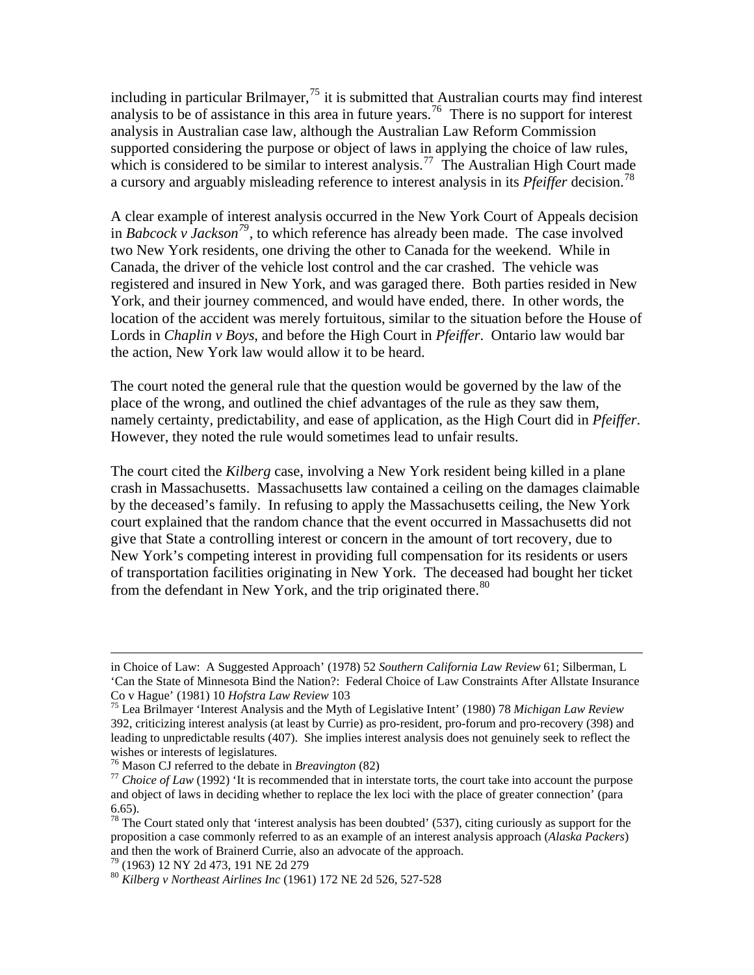including in particular Brilmayer,<sup>[75](#page-16-0)</sup> it is submitted that Australian courts may find interest analysis to be of assistance in this area in future years.<sup>[76](#page-16-1)</sup> There is no support for interest analysis in Australian case law, although the Australian Law Reform Commission supported considering the purpose or object of laws in applying the choice of law rules, which is considered to be similar to interest analysis.<sup>[77](#page-16-2)</sup> The Australian High Court made a cursory and arguably misleading reference to interest analysis in its *Pfeiffer* decision.[78](#page-16-3)

A clear example of interest analysis occurred in the New York Court of Appeals decision in *Babcock v Jackson[79](#page-16-4)*, to which reference has already been made. The case involved two New York residents, one driving the other to Canada for the weekend. While in Canada, the driver of the vehicle lost control and the car crashed. The vehicle was registered and insured in New York, and was garaged there. Both parties resided in New York, and their journey commenced, and would have ended, there. In other words, the location of the accident was merely fortuitous, similar to the situation before the House of Lords in *Chaplin v Boys*, and before the High Court in *Pfeiffer*. Ontario law would bar the action, New York law would allow it to be heard.

The court noted the general rule that the question would be governed by the law of the place of the wrong, and outlined the chief advantages of the rule as they saw them, namely certainty, predictability, and ease of application, as the High Court did in *Pfeiffer*. However, they noted the rule would sometimes lead to unfair results.

The court cited the *Kilberg* case, involving a New York resident being killed in a plane crash in Massachusetts. Massachusetts law contained a ceiling on the damages claimable by the deceased's family. In refusing to apply the Massachusetts ceiling, the New York court explained that the random chance that the event occurred in Massachusetts did not give that State a controlling interest or concern in the amount of tort recovery, due to New York's competing interest in providing full compensation for its residents or users of transportation facilities originating in New York. The deceased had bought her ticket from the defendant in New York, and the trip originated there.<sup>[80](#page-16-5)</sup>

in Choice of Law: A Suggested Approach' (1978) 52 *Southern California Law Review* 61; Silberman, L 'Can the State of Minnesota Bind the Nation?: Federal Choice of Law Constraints After Allstate Insurance Co v Hague' (1981) 10 *Hofstra Law Review* 103 75 Lea Brilmayer 'Interest Analysis and the Myth of Legislative Intent' (1980) 78 *Michigan Law Review*

<span id="page-16-0"></span><sup>392,</sup> criticizing interest analysis (at least by Currie) as pro-resident, pro-forum and pro-recovery (398) and leading to unpredictable results (407). She implies interest analysis does not genuinely seek to reflect the wishes or interests of legislatures.<br><sup>76</sup> Mason CJ referred to the debate in *Breavington* (82)

<span id="page-16-1"></span>

<span id="page-16-2"></span><sup>&</sup>lt;sup>77</sup> Choice of Law (1992) 'It is recommended that in interstate torts, the court take into account the purpose and object of laws in deciding whether to replace the lex loci with the place of greater connection' (para 6.65).

<span id="page-16-3"></span> $78$  The Court stated only that 'interest analysis has been doubted' (537), citing curiously as support for the proposition a case commonly referred to as an example of an interest analysis approach (*Alaska Packers*) and then the work of Brainerd Currie, also an advocate of the approach.<br> $^{79}$  (1963) 12 NY 2d 473, 191 NE 2d 279

<span id="page-16-5"></span><span id="page-16-4"></span>

<sup>80</sup> *Kilberg v Northeast Airlines Inc* (1961) 172 NE 2d 526, 527-528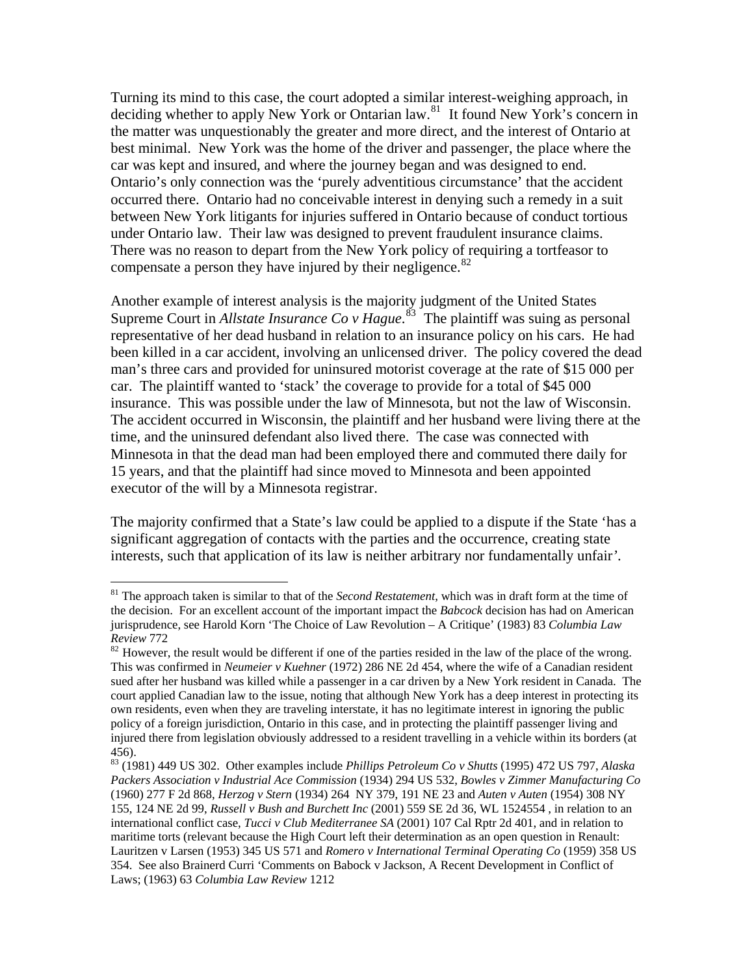Turning its mind to this case, the court adopted a similar interest-weighing approach, in deciding whether to apply New York or Ontarian law.<sup>[81](#page-17-0)</sup> It found New York's concern in the matter was unquestionably the greater and more direct, and the interest of Ontario at best minimal. New York was the home of the driver and passenger, the place where the car was kept and insured, and where the journey began and was designed to end. Ontario's only connection was the 'purely adventitious circumstance' that the accident occurred there. Ontario had no conceivable interest in denying such a remedy in a suit between New York litigants for injuries suffered in Ontario because of conduct tortious under Ontario law. Their law was designed to prevent fraudulent insurance claims. There was no reason to depart from the New York policy of requiring a tortfeasor to compensate a person they have injured by their negligence. $82$ 

Another example of interest analysis is the majority judgment of the United States Supreme Court in *Allstate Insurance Co v Hague*.<sup>[83](#page-17-2)</sup> The plaintiff was suing as personal representative of her dead husband in relation to an insurance policy on his cars. He had been killed in a car accident, involving an unlicensed driver. The policy covered the dead man's three cars and provided for uninsured motorist coverage at the rate of \$15 000 per car. The plaintiff wanted to 'stack' the coverage to provide for a total of \$45 000 insurance. This was possible under the law of Minnesota, but not the law of Wisconsin. The accident occurred in Wisconsin, the plaintiff and her husband were living there at the time, and the uninsured defendant also lived there. The case was connected with Minnesota in that the dead man had been employed there and commuted there daily for 15 years, and that the plaintiff had since moved to Minnesota and been appointed executor of the will by a Minnesota registrar.

The majority confirmed that a State's law could be applied to a dispute if the State 'has a significant aggregation of contacts with the parties and the occurrence, creating state interests, such that application of its law is neither arbitrary nor fundamentally unfair*'*.

<span id="page-17-0"></span><sup>81</sup> The approach taken is similar to that of the *Second Restatement*, which was in draft form at the time of the decision. For an excellent account of the important impact the *Babcock* decision has had on American jurisprudence, see Harold Korn 'The Choice of Law Revolution – A Critique' (1983) 83 *Columbia Law Review* 772<br><sup>82</sup> However, the result would be different if one of the parties resided in the law of the place of the wrong.

<span id="page-17-1"></span>This was confirmed in *Neumeier v Kuehner* (1972) 286 NE 2d 454, where the wife of a Canadian resident sued after her husband was killed while a passenger in a car driven by a New York resident in Canada. The court applied Canadian law to the issue, noting that although New York has a deep interest in protecting its own residents, even when they are traveling interstate, it has no legitimate interest in ignoring the public policy of a foreign jurisdiction, Ontario in this case, and in protecting the plaintiff passenger living and injured there from legislation obviously addressed to a resident travelling in a vehicle within its borders (at 456).

<span id="page-17-2"></span><sup>83 (1981) 449</sup> US 302. Other examples include *Phillips Petroleum Co v Shutts* (1995) 472 US 797, *Alaska Packers Association v Industrial Ace Commission* (1934) 294 US 532, *Bowles v Zimmer Manufacturing Co* (1960) 277 F 2d 868, *Herzog v Stern* (1934) 264 NY 379, 191 NE 23 and *Auten v Auten* (1954) 308 NY 155, 124 NE 2d 99, *Russell v Bush and Burchett Inc* (2001) 559 SE 2d 36, WL 1524554 , in relation to an international conflict case, *Tucci v Club Mediterranee SA* (2001) 107 Cal Rptr 2d 401, and in relation to maritime torts (relevant because the High Court left their determination as an open question in Renault: Lauritzen v Larsen (1953) 345 US 571 and *Romero v International Terminal Operating Co* (1959) 358 US 354. See also Brainerd Curri 'Comments on Babock v Jackson, A Recent Development in Conflict of Laws; (1963) 63 *Columbia Law Review* 1212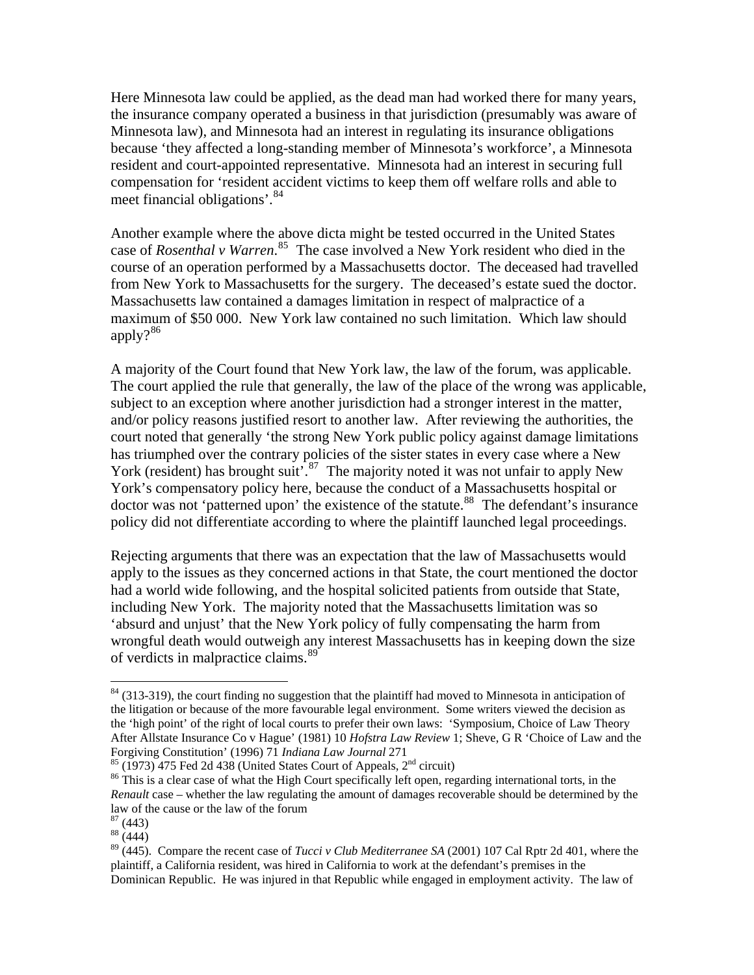Here Minnesota law could be applied, as the dead man had worked there for many years, the insurance company operated a business in that jurisdiction (presumably was aware of Minnesota law), and Minnesota had an interest in regulating its insurance obligations because 'they affected a long-standing member of Minnesota's workforce', a Minnesota resident and court-appointed representative. Minnesota had an interest in securing full compensation for 'resident accident victims to keep them off welfare rolls and able to meet financial obligations'.[84](#page-18-0)

Another example where the above dicta might be tested occurred in the United States case of *Rosenthal v Warren*. [85](#page-18-1) The case involved a New York resident who died in the course of an operation performed by a Massachusetts doctor. The deceased had travelled from New York to Massachusetts for the surgery. The deceased's estate sued the doctor. Massachusetts law contained a damages limitation in respect of malpractice of a maximum of \$50 000. New York law contained no such limitation. Which law should apply $?^{86}$  $?^{86}$  $?^{86}$ 

A majority of the Court found that New York law, the law of the forum, was applicable. The court applied the rule that generally, the law of the place of the wrong was applicable, subject to an exception where another jurisdiction had a stronger interest in the matter, and/or policy reasons justified resort to another law. After reviewing the authorities, the court noted that generally 'the strong New York public policy against damage limitations has triumphed over the contrary policies of the sister states in every case where a New York (resident) has brought suit<sup>5,[87](#page-18-3)</sup> The majority noted it was not unfair to apply New York's compensatory policy here, because the conduct of a Massachusetts hospital or  $\frac{1}{2}$  doctor was not 'patterned upon' the existence of the statute.<sup>[88](#page-18-4)</sup> The defendant's insurance policy did not differentiate according to where the plaintiff launched legal proceedings.

Rejecting arguments that there was an expectation that the law of Massachusetts would apply to the issues as they concerned actions in that State, the court mentioned the doctor had a world wide following, and the hospital solicited patients from outside that State, including New York. The majority noted that the Massachusetts limitation was so 'absurd and unjust' that the New York policy of fully compensating the harm from wrongful death would outweigh any interest Massachusetts has in keeping down the size of verdicts in malpractice claims.<sup>[89](#page-18-5)</sup>

<span id="page-18-0"></span><sup>&</sup>lt;sup>84</sup> (313-319), the court finding no suggestion that the plaintiff had moved to Minnesota in anticipation of the litigation or because of the more favourable legal environment. Some writers viewed the decision as the 'high point' of the right of local courts to prefer their own laws: 'Symposium, Choice of Law Theory After Allstate Insurance Co v Hague' (1981) 10 *Hofstra Law Review* 1; Sheve, G R 'Choice of Law and the Forgiving Constitution' (1996) 71 Indiana Law Journal 271<br><sup>85</sup> (1973) 475 Fed 2d 438 (United States Court of Appeals, 2<sup>nd</sup> circuit)<br><sup>86</sup> This is a clear case of what the High Court specifically left open, regarding inter

<span id="page-18-1"></span>

<span id="page-18-2"></span>*Renault* case – whether the law regulating the amount of damages recoverable should be determined by the law of the cause or the law of the forum

 $87(443)$ 

<span id="page-18-4"></span><span id="page-18-3"></span> $88(444)$ 

<span id="page-18-5"></span><sup>89 (445).</sup> Compare the recent case of *Tucci v Club Mediterranee SA* (2001) 107 Cal Rptr 2d 401, where the plaintiff, a California resident, was hired in California to work at the defendant's premises in the Dominican Republic. He was injured in that Republic while engaged in employment activity. The law of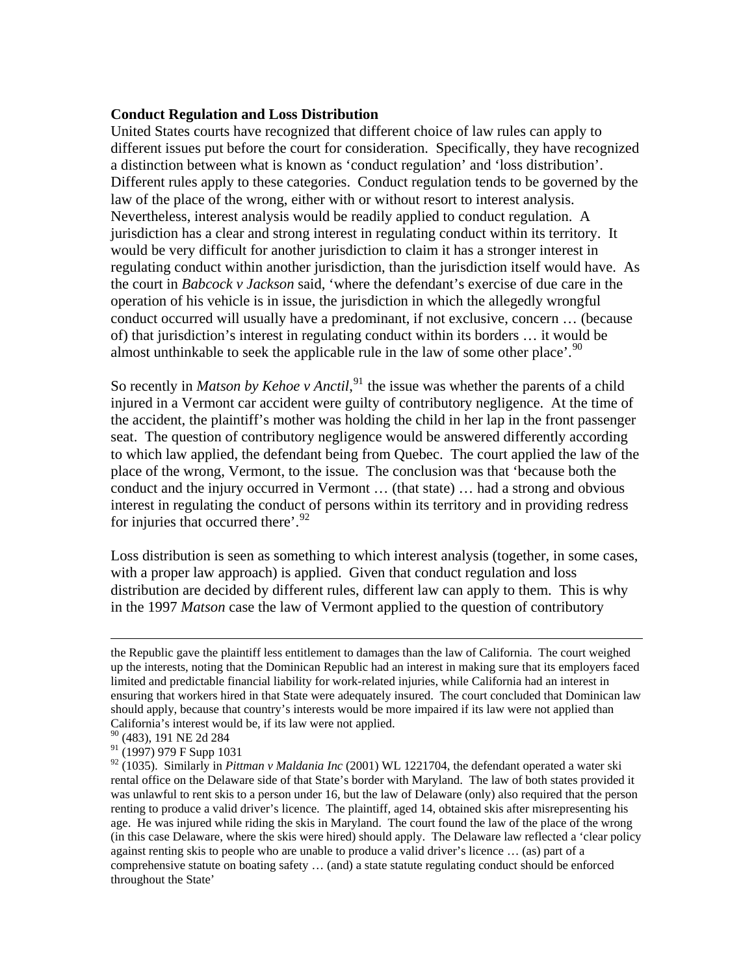#### **Conduct Regulation and Loss Distribution**

United States courts have recognized that different choice of law rules can apply to different issues put before the court for consideration. Specifically, they have recognized a distinction between what is known as 'conduct regulation' and 'loss distribution'. Different rules apply to these categories. Conduct regulation tends to be governed by the law of the place of the wrong, either with or without resort to interest analysis. Nevertheless, interest analysis would be readily applied to conduct regulation. A jurisdiction has a clear and strong interest in regulating conduct within its territory. It would be very difficult for another jurisdiction to claim it has a stronger interest in regulating conduct within another jurisdiction, than the jurisdiction itself would have. As the court in *Babcock v Jackson* said, 'where the defendant's exercise of due care in the operation of his vehicle is in issue, the jurisdiction in which the allegedly wrongful conduct occurred will usually have a predominant, if not exclusive, concern … (because of) that jurisdiction's interest in regulating conduct within its borders … it would be almost unthinkable to seek the applicable rule in the law of some other place'.<sup>[90](#page-19-0)</sup>

So recently in *Matson by Kehoe v Anctil*,<sup>[91](#page-19-1)</sup> the issue was whether the parents of a child injured in a Vermont car accident were guilty of contributory negligence. At the time of the accident, the plaintiff's mother was holding the child in her lap in the front passenger seat. The question of contributory negligence would be answered differently according to which law applied, the defendant being from Quebec. The court applied the law of the place of the wrong, Vermont, to the issue. The conclusion was that 'because both the conduct and the injury occurred in Vermont … (that state) … had a strong and obvious interest in regulating the conduct of persons within its territory and in providing redress for injuries that occurred there'.<sup>[92](#page-19-2)</sup>

Loss distribution is seen as something to which interest analysis (together, in some cases, with a proper law approach) is applied. Given that conduct regulation and loss distribution are decided by different rules, different law can apply to them. This is why in the 1997 *Matson* case the law of Vermont applied to the question of contributory

the Republic gave the plaintiff less entitlement to damages than the law of California. The court weighed up the interests, noting that the Dominican Republic had an interest in making sure that its employers faced limited and predictable financial liability for work-related injuries, while California had an interest in ensuring that workers hired in that State were adequately insured. The court concluded that Dominican law should apply, because that country's interests would be more impaired if its law were not applied than California's interest would be, if its law were not applied.

<sup>90 (483), 191</sup> NE 2d 284

<span id="page-19-1"></span><span id="page-19-0"></span> $91$  (1997) 979 F Supp 1031

<span id="page-19-2"></span><sup>92 (1035).</sup> Similarly in *Pittman v Maldania Inc* (2001) WL 1221704, the defendant operated a water ski rental office on the Delaware side of that State's border with Maryland. The law of both states provided it was unlawful to rent skis to a person under 16, but the law of Delaware (only) also required that the person renting to produce a valid driver's licence. The plaintiff, aged 14, obtained skis after misrepresenting his age. He was injured while riding the skis in Maryland. The court found the law of the place of the wrong (in this case Delaware, where the skis were hired) should apply. The Delaware law reflected a 'clear policy against renting skis to people who are unable to produce a valid driver's licence … (as) part of a comprehensive statute on boating safety … (and) a state statute regulating conduct should be enforced throughout the State'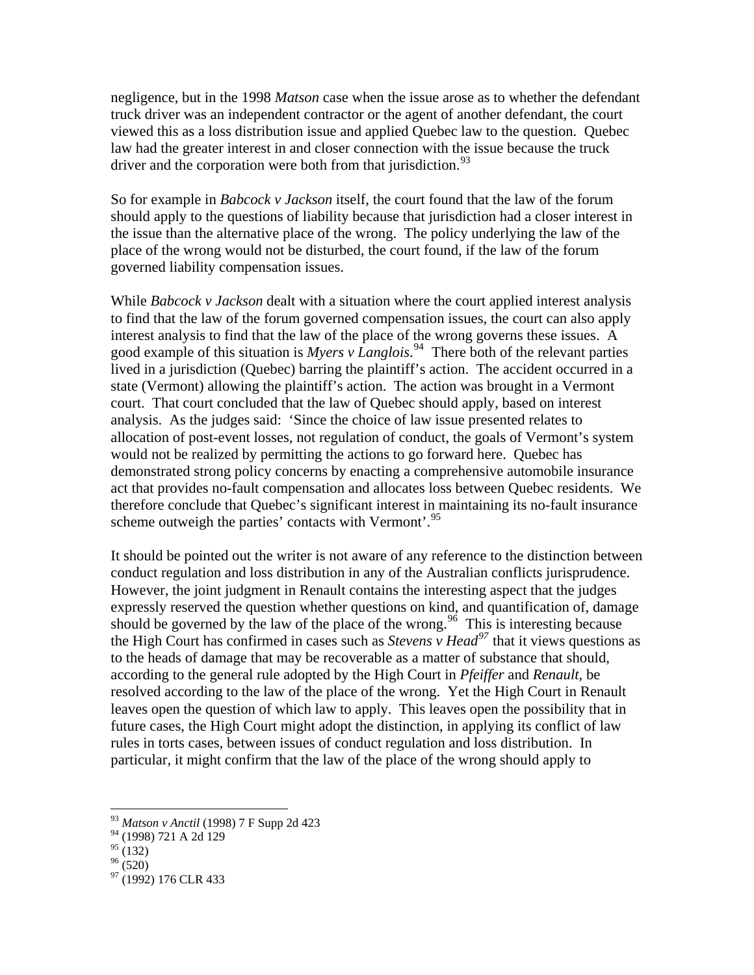negligence, but in the 1998 *Matson* case when the issue arose as to whether the defendant truck driver was an independent contractor or the agent of another defendant, the court viewed this as a loss distribution issue and applied Quebec law to the question. Quebec law had the greater interest in and closer connection with the issue because the truck driver and the corporation were both from that jurisdiction.<sup>[93](#page-20-0)</sup>

So for example in *Babcock v Jackson* itself, the court found that the law of the forum should apply to the questions of liability because that jurisdiction had a closer interest in the issue than the alternative place of the wrong. The policy underlying the law of the place of the wrong would not be disturbed, the court found, if the law of the forum governed liability compensation issues.

While *Babcock v Jackson* dealt with a situation where the court applied interest analysis to find that the law of the forum governed compensation issues, the court can also apply interest analysis to find that the law of the place of the wrong governs these issues. A good example of this situation is *Myers v Langlois*. [94](#page-20-1) There both of the relevant parties lived in a jurisdiction (Quebec) barring the plaintiff's action. The accident occurred in a state (Vermont) allowing the plaintiff's action. The action was brought in a Vermont court. That court concluded that the law of Quebec should apply, based on interest analysis. As the judges said: 'Since the choice of law issue presented relates to allocation of post-event losses, not regulation of conduct, the goals of Vermont's system would not be realized by permitting the actions to go forward here. Quebec has demonstrated strong policy concerns by enacting a comprehensive automobile insurance act that provides no-fault compensation and allocates loss between Quebec residents. We therefore conclude that Quebec's significant interest in maintaining its no-fault insurance scheme outweigh the parties' contacts with Vermont'.<sup>[95](#page-20-2)</sup>

It should be pointed out the writer is not aware of any reference to the distinction between conduct regulation and loss distribution in any of the Australian conflicts jurisprudence. However, the joint judgment in Renault contains the interesting aspect that the judges expressly reserved the question whether questions on kind, and quantification of, damage should be governed by the law of the place of the wrong.<sup>[96](#page-20-3)</sup> This is interesting because the High Court has confirmed in cases such as *Stevens v Head[97](#page-20-4)* that it views questions as to the heads of damage that may be recoverable as a matter of substance that should, according to the general rule adopted by the High Court in *Pfeiffer* and *Renault*, be resolved according to the law of the place of the wrong. Yet the High Court in Renault leaves open the question of which law to apply. This leaves open the possibility that in future cases, the High Court might adopt the distinction, in applying its conflict of law rules in torts cases, between issues of conduct regulation and loss distribution. In particular, it might confirm that the law of the place of the wrong should apply to

<sup>93</sup> *Matson v Anctil* (1998) 7 F Supp 2d 423

<span id="page-20-1"></span><span id="page-20-0"></span><sup>94 (1998) 721</sup> A 2d 129

<span id="page-20-2"></span> $^{95}$  (132)

<span id="page-20-3"></span> $96(520)$ 

<span id="page-20-4"></span><sup>&</sup>lt;sup>97</sup> (1992) 176 CLR 433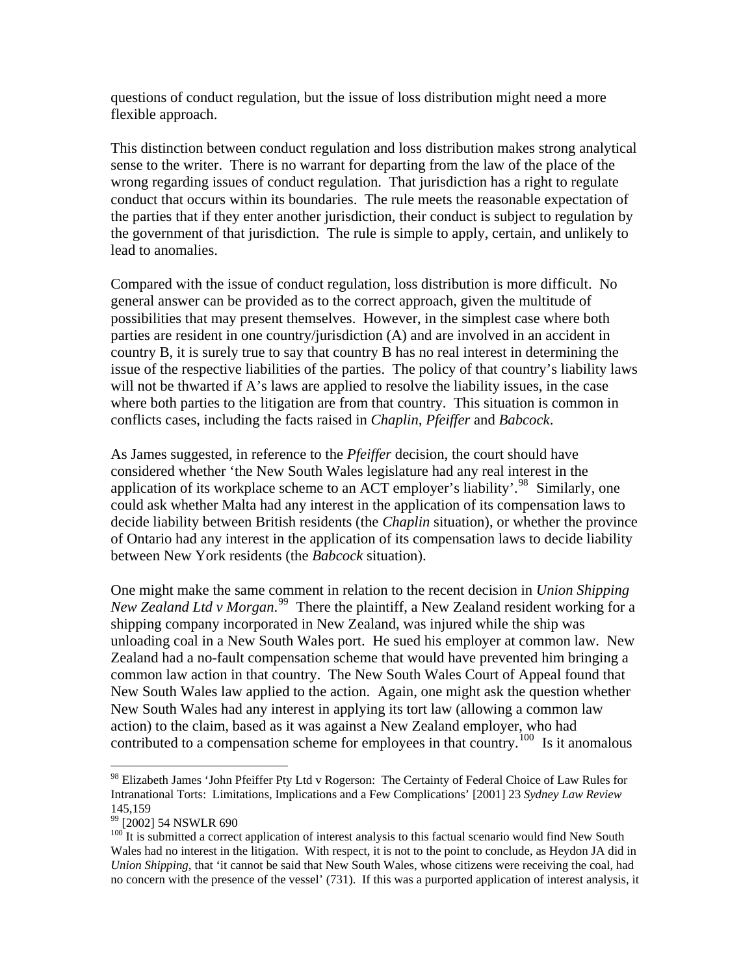questions of conduct regulation, but the issue of loss distribution might need a more flexible approach.

This distinction between conduct regulation and loss distribution makes strong analytical sense to the writer. There is no warrant for departing from the law of the place of the wrong regarding issues of conduct regulation. That jurisdiction has a right to regulate conduct that occurs within its boundaries. The rule meets the reasonable expectation of the parties that if they enter another jurisdiction, their conduct is subject to regulation by the government of that jurisdiction. The rule is simple to apply, certain, and unlikely to lead to anomalies.

Compared with the issue of conduct regulation, loss distribution is more difficult. No general answer can be provided as to the correct approach, given the multitude of possibilities that may present themselves. However, in the simplest case where both parties are resident in one country/jurisdiction (A) and are involved in an accident in country B, it is surely true to say that country B has no real interest in determining the issue of the respective liabilities of the parties. The policy of that country's liability laws will not be thwarted if A's laws are applied to resolve the liability issues, in the case where both parties to the litigation are from that country. This situation is common in conflicts cases, including the facts raised in *Chaplin, Pfeiffer* and *Babcock*.

As James suggested, in reference to the *Pfeiffer* decision, the court should have considered whether 'the New South Wales legislature had any real interest in the application of its workplace scheme to an ACT employer's liability'.<sup>[98](#page-21-0)</sup> Similarly, one could ask whether Malta had any interest in the application of its compensation laws to decide liability between British residents (the *Chaplin* situation), or whether the province of Ontario had any interest in the application of its compensation laws to decide liability between New York residents (the *Babcock* situation).

One might make the same comment in relation to the recent decision in *Union Shipping New Zealand Ltd v Morgan*. [99](#page-21-1) There the plaintiff, a New Zealand resident working for a shipping company incorporated in New Zealand, was injured while the ship was unloading coal in a New South Wales port. He sued his employer at common law. New Zealand had a no-fault compensation scheme that would have prevented him bringing a common law action in that country. The New South Wales Court of Appeal found that New South Wales law applied to the action. Again, one might ask the question whether New South Wales had any interest in applying its tort law (allowing a common law action) to the claim, based as it was against a New Zealand employer, who had contributed to a compensation scheme for employees in that country.<sup>[100](#page-21-2)</sup> Is it anomalous

<span id="page-21-0"></span><sup>&</sup>lt;sup>98</sup> Elizabeth James 'John Pfeiffer Pty Ltd v Rogerson: The Certainty of Federal Choice of Law Rules for Intranational Torts: Limitations, Implications and a Few Complications' [2001] 23 *Sydney Law Review* 145,159

<span id="page-21-1"></span><sup>99 [2002] 54</sup> NSWLR 690

<span id="page-21-2"></span> $100$  It is submitted a correct application of interest analysis to this factual scenario would find New South Wales had no interest in the litigation. With respect, it is not to the point to conclude, as Heydon JA did in *Union Shipping*, that 'it cannot be said that New South Wales, whose citizens were receiving the coal, had no concern with the presence of the vessel' (731). If this was a purported application of interest analysis, it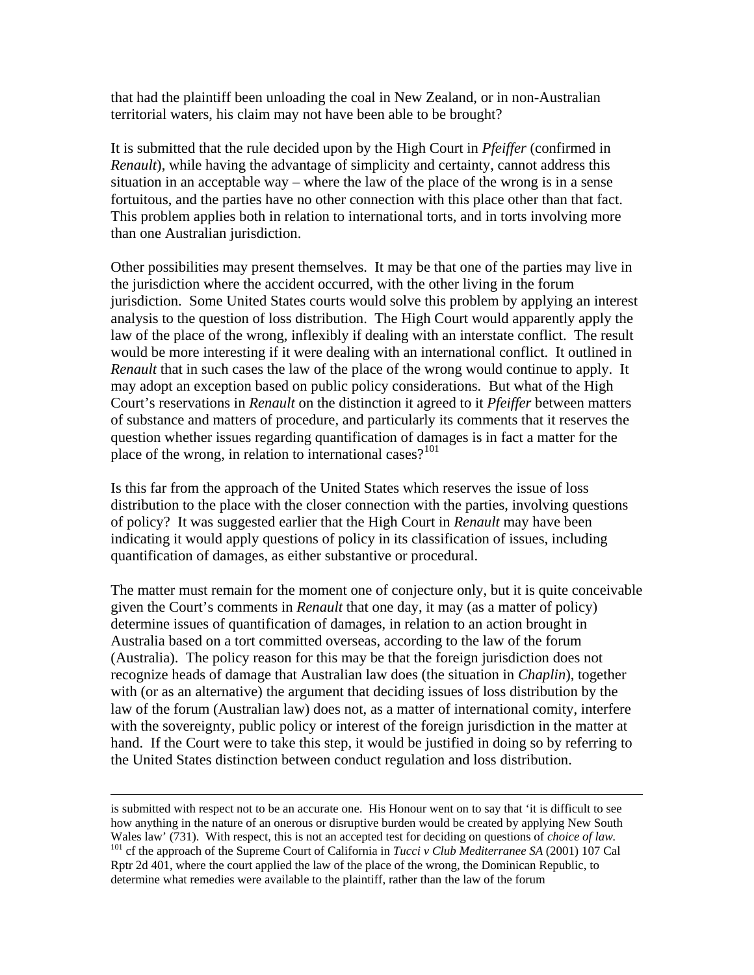that had the plaintiff been unloading the coal in New Zealand, or in non-Australian territorial waters, his claim may not have been able to be brought?

It is submitted that the rule decided upon by the High Court in *Pfeiffer* (confirmed in *Renault*), while having the advantage of simplicity and certainty, cannot address this situation in an acceptable way – where the law of the place of the wrong is in a sense fortuitous, and the parties have no other connection with this place other than that fact. This problem applies both in relation to international torts, and in torts involving more than one Australian jurisdiction.

Other possibilities may present themselves. It may be that one of the parties may live in the jurisdiction where the accident occurred, with the other living in the forum jurisdiction. Some United States courts would solve this problem by applying an interest analysis to the question of loss distribution. The High Court would apparently apply the law of the place of the wrong, inflexibly if dealing with an interstate conflict. The result would be more interesting if it were dealing with an international conflict. It outlined in *Renault* that in such cases the law of the place of the wrong would continue to apply. It may adopt an exception based on public policy considerations. But what of the High Court's reservations in *Renault* on the distinction it agreed to it *Pfeiffer* between matters of substance and matters of procedure, and particularly its comments that it reserves the question whether issues regarding quantification of damages is in fact a matter for the place of the wrong, in relation to international cases? $101$ 

Is this far from the approach of the United States which reserves the issue of loss distribution to the place with the closer connection with the parties, involving questions of policy? It was suggested earlier that the High Court in *Renault* may have been indicating it would apply questions of policy in its classification of issues, including quantification of damages, as either substantive or procedural.

The matter must remain for the moment one of conjecture only, but it is quite conceivable given the Court's comments in *Renault* that one day, it may (as a matter of policy) determine issues of quantification of damages, in relation to an action brought in Australia based on a tort committed overseas, according to the law of the forum (Australia). The policy reason for this may be that the foreign jurisdiction does not recognize heads of damage that Australian law does (the situation in *Chaplin*), together with (or as an alternative) the argument that deciding issues of loss distribution by the law of the forum (Australian law) does not, as a matter of international comity, interfere with the sovereignty, public policy or interest of the foreign jurisdiction in the matter at hand. If the Court were to take this step, it would be justified in doing so by referring to the United States distinction between conduct regulation and loss distribution.

<span id="page-22-0"></span>is submitted with respect not to be an accurate one. His Honour went on to say that 'it is difficult to see how anything in the nature of an onerous or disruptive burden would be created by applying New South Wales law' (731). With respect, this is not an accepted test for deciding on questions of *choice of law*.<br><sup>101</sup> cf the approach of the Supreme Court of California in *Tucci v Club Mediterranee SA* (2001) 107 Cal Rptr 2d 401, where the court applied the law of the place of the wrong, the Dominican Republic, to determine what remedies were available to the plaintiff, rather than the law of the forum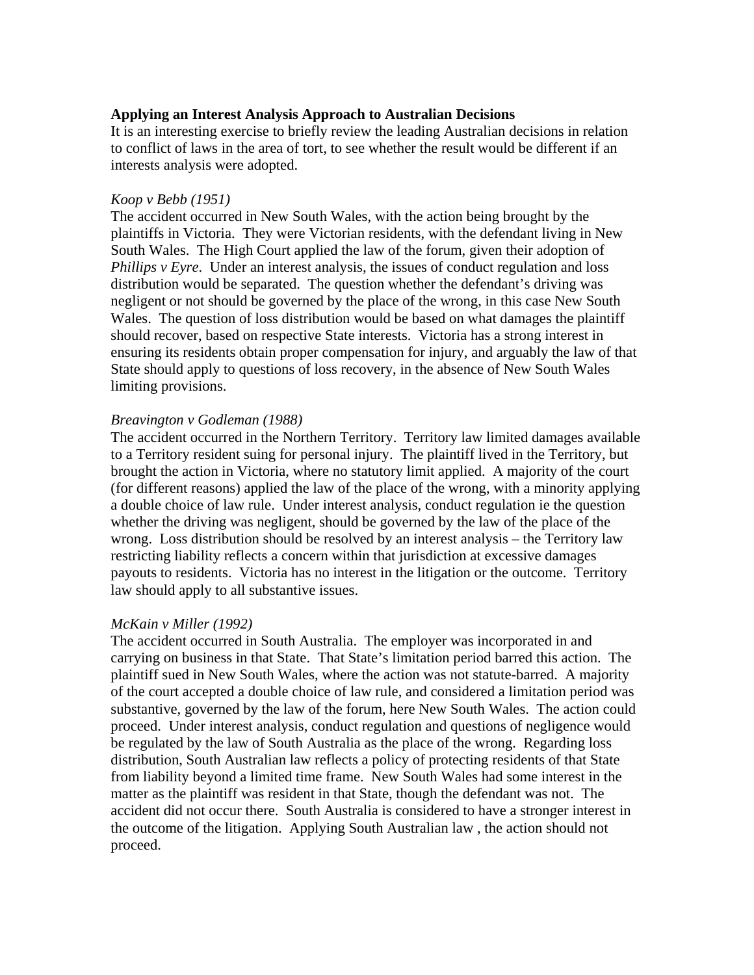# **Applying an Interest Analysis Approach to Australian Decisions**

It is an interesting exercise to briefly review the leading Australian decisions in relation to conflict of laws in the area of tort, to see whether the result would be different if an interests analysis were adopted.

### *Koop v Bebb (1951)*

The accident occurred in New South Wales, with the action being brought by the plaintiffs in Victoria. They were Victorian residents, with the defendant living in New South Wales. The High Court applied the law of the forum, given their adoption of *Phillips v Eyre*. Under an interest analysis, the issues of conduct regulation and loss distribution would be separated. The question whether the defendant's driving was negligent or not should be governed by the place of the wrong, in this case New South Wales. The question of loss distribution would be based on what damages the plaintiff should recover, based on respective State interests. Victoria has a strong interest in ensuring its residents obtain proper compensation for injury, and arguably the law of that State should apply to questions of loss recovery, in the absence of New South Wales limiting provisions.

# *Breavington v Godleman (1988)*

The accident occurred in the Northern Territory. Territory law limited damages available to a Territory resident suing for personal injury. The plaintiff lived in the Territory, but brought the action in Victoria, where no statutory limit applied. A majority of the court (for different reasons) applied the law of the place of the wrong, with a minority applying a double choice of law rule. Under interest analysis, conduct regulation ie the question whether the driving was negligent, should be governed by the law of the place of the wrong. Loss distribution should be resolved by an interest analysis – the Territory law restricting liability reflects a concern within that jurisdiction at excessive damages payouts to residents. Victoria has no interest in the litigation or the outcome. Territory law should apply to all substantive issues.

# *McKain v Miller (1992)*

The accident occurred in South Australia. The employer was incorporated in and carrying on business in that State. That State's limitation period barred this action. The plaintiff sued in New South Wales, where the action was not statute-barred. A majority of the court accepted a double choice of law rule, and considered a limitation period was substantive, governed by the law of the forum, here New South Wales. The action could proceed. Under interest analysis, conduct regulation and questions of negligence would be regulated by the law of South Australia as the place of the wrong. Regarding loss distribution, South Australian law reflects a policy of protecting residents of that State from liability beyond a limited time frame. New South Wales had some interest in the matter as the plaintiff was resident in that State, though the defendant was not. The accident did not occur there. South Australia is considered to have a stronger interest in the outcome of the litigation. Applying South Australian law , the action should not proceed.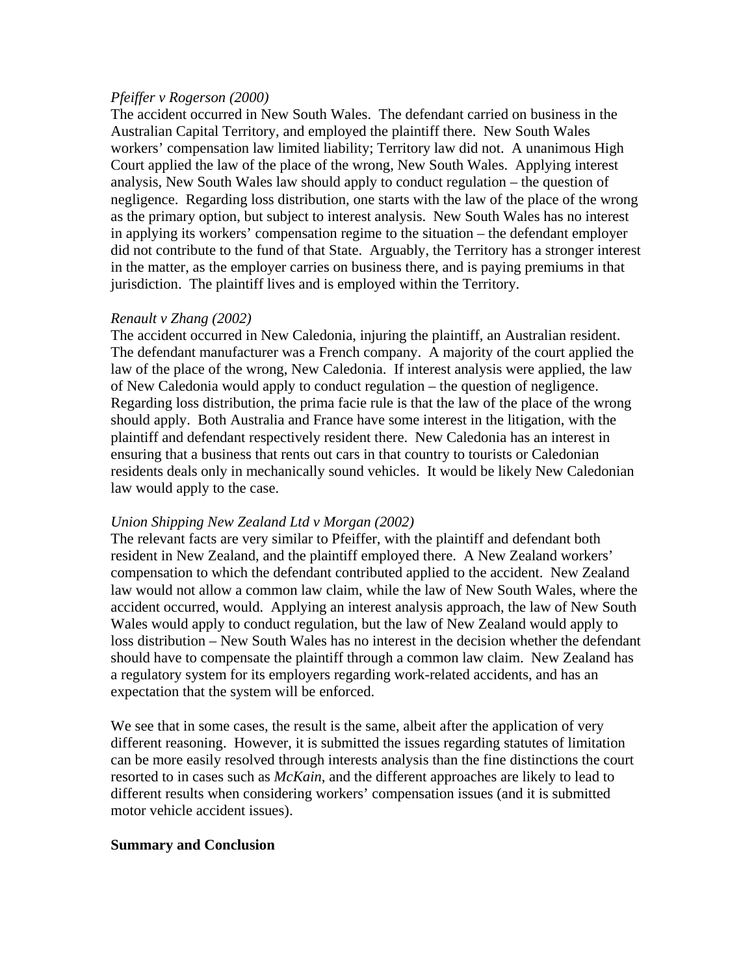#### *Pfeiffer v Rogerson (2000)*

The accident occurred in New South Wales. The defendant carried on business in the Australian Capital Territory, and employed the plaintiff there. New South Wales workers' compensation law limited liability; Territory law did not. A unanimous High Court applied the law of the place of the wrong, New South Wales. Applying interest analysis, New South Wales law should apply to conduct regulation – the question of negligence. Regarding loss distribution, one starts with the law of the place of the wrong as the primary option, but subject to interest analysis. New South Wales has no interest in applying its workers' compensation regime to the situation – the defendant employer did not contribute to the fund of that State. Arguably, the Territory has a stronger interest in the matter, as the employer carries on business there, and is paying premiums in that jurisdiction. The plaintiff lives and is employed within the Territory.

# *Renault v Zhang (2002)*

The accident occurred in New Caledonia, injuring the plaintiff, an Australian resident. The defendant manufacturer was a French company. A majority of the court applied the law of the place of the wrong, New Caledonia. If interest analysis were applied, the law of New Caledonia would apply to conduct regulation – the question of negligence. Regarding loss distribution, the prima facie rule is that the law of the place of the wrong should apply. Both Australia and France have some interest in the litigation, with the plaintiff and defendant respectively resident there. New Caledonia has an interest in ensuring that a business that rents out cars in that country to tourists or Caledonian residents deals only in mechanically sound vehicles. It would be likely New Caledonian law would apply to the case.

# *Union Shipping New Zealand Ltd v Morgan (2002)*

The relevant facts are very similar to Pfeiffer, with the plaintiff and defendant both resident in New Zealand, and the plaintiff employed there. A New Zealand workers' compensation to which the defendant contributed applied to the accident. New Zealand law would not allow a common law claim, while the law of New South Wales, where the accident occurred, would. Applying an interest analysis approach, the law of New South Wales would apply to conduct regulation, but the law of New Zealand would apply to loss distribution – New South Wales has no interest in the decision whether the defendant should have to compensate the plaintiff through a common law claim. New Zealand has a regulatory system for its employers regarding work-related accidents, and has an expectation that the system will be enforced.

We see that in some cases, the result is the same, albeit after the application of very different reasoning. However, it is submitted the issues regarding statutes of limitation can be more easily resolved through interests analysis than the fine distinctions the court resorted to in cases such as *McKain*, and the different approaches are likely to lead to different results when considering workers' compensation issues (and it is submitted motor vehicle accident issues).

# **Summary and Conclusion**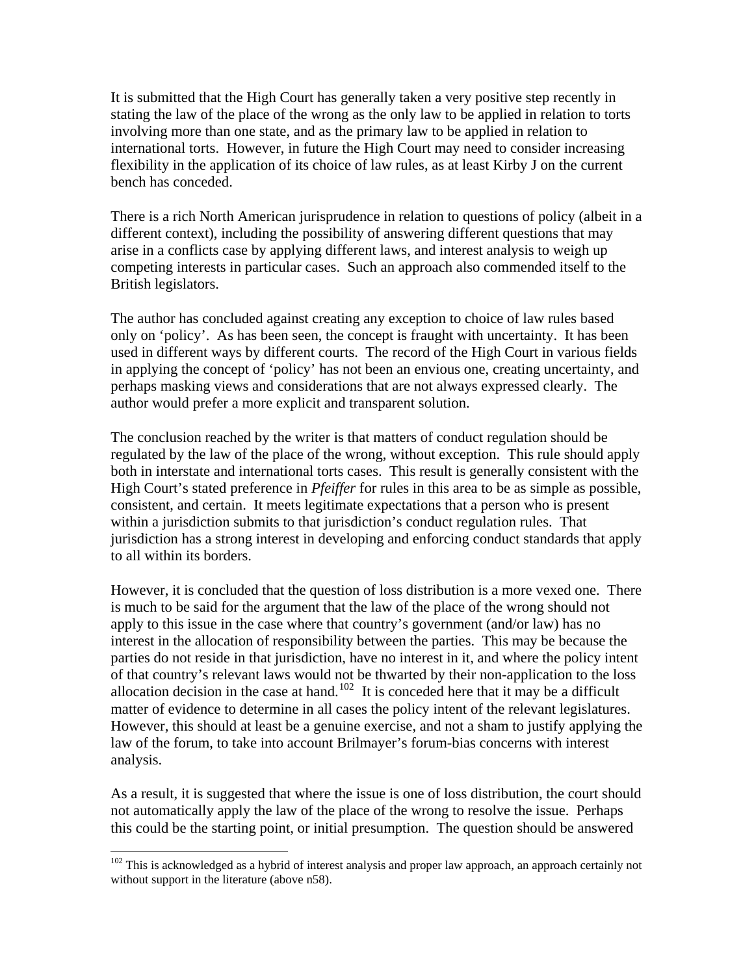It is submitted that the High Court has generally taken a very positive step recently in stating the law of the place of the wrong as the only law to be applied in relation to torts involving more than one state, and as the primary law to be applied in relation to international torts. However, in future the High Court may need to consider increasing flexibility in the application of its choice of law rules, as at least Kirby J on the current bench has conceded.

There is a rich North American jurisprudence in relation to questions of policy (albeit in a different context), including the possibility of answering different questions that may arise in a conflicts case by applying different laws, and interest analysis to weigh up competing interests in particular cases. Such an approach also commended itself to the British legislators.

The author has concluded against creating any exception to choice of law rules based only on 'policy'. As has been seen, the concept is fraught with uncertainty. It has been used in different ways by different courts. The record of the High Court in various fields in applying the concept of 'policy' has not been an envious one, creating uncertainty, and perhaps masking views and considerations that are not always expressed clearly. The author would prefer a more explicit and transparent solution.

The conclusion reached by the writer is that matters of conduct regulation should be regulated by the law of the place of the wrong, without exception. This rule should apply both in interstate and international torts cases. This result is generally consistent with the High Court's stated preference in *Pfeiffer* for rules in this area to be as simple as possible, consistent, and certain. It meets legitimate expectations that a person who is present within a jurisdiction submits to that jurisdiction's conduct regulation rules. That jurisdiction has a strong interest in developing and enforcing conduct standards that apply to all within its borders.

However, it is concluded that the question of loss distribution is a more vexed one. There is much to be said for the argument that the law of the place of the wrong should not apply to this issue in the case where that country's government (and/or law) has no interest in the allocation of responsibility between the parties. This may be because the parties do not reside in that jurisdiction, have no interest in it, and where the policy intent of that country's relevant laws would not be thwarted by their non-application to the loss allocation decision in the case at hand.<sup>[102](#page-25-0)</sup> It is conceded here that it may be a difficult matter of evidence to determine in all cases the policy intent of the relevant legislatures. However, this should at least be a genuine exercise, and not a sham to justify applying the law of the forum, to take into account Brilmayer's forum-bias concerns with interest analysis.

As a result, it is suggested that where the issue is one of loss distribution, the court should not automatically apply the law of the place of the wrong to resolve the issue. Perhaps this could be the starting point, or initial presumption. The question should be answered

<span id="page-25-0"></span> $102$  This is acknowledged as a hybrid of interest analysis and proper law approach, an approach certainly not without support in the literature (above n58).